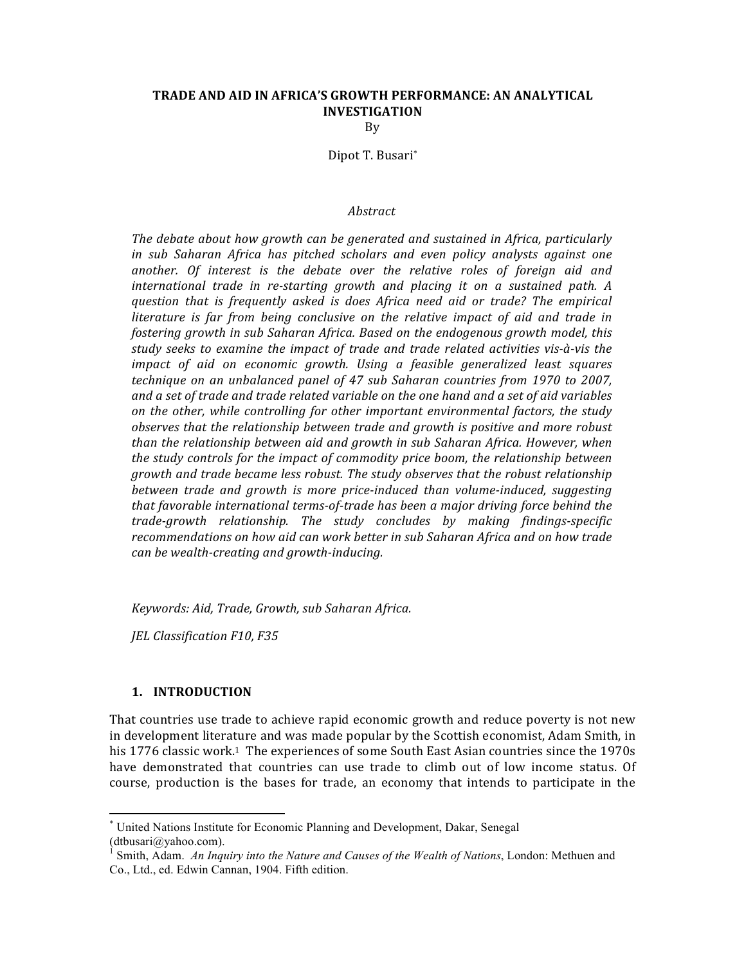# **TRADE AND AID IN AFRICA'S GROWTH PERFORMANCE: AN ANALYTICAL INVESTIGATION**

By

Dipot T. Busari\*

#### *Abstract*

The debate about how growth can be generated and sustained in Africa, particularly in sub Saharan Africa has pitched scholars and even policy analysts against one *another.* Of interest is the debate over the relative roles of foreign aid and *international trade in re-starting growth and placing it on a sustained path. A question* that is frequently asked is does Africa need aid or trade? The empirical *literature is far from being conclusive on the relative impact of aid and trade in fostering growth in sub Saharan Africa. Based on the endogenous growth model, this study seeks to examine the impact of trade and trade related activities vis-à-vis the impact* of aid on economic growth. Using a feasible generalized least squares *technique on an unbalanced panel of 47 sub Saharan countries from 1970 to 2007,* and a set of trade and trade related variable on the one hand and a set of aid variables *on* the other, while controlling for other important environmental factors, the study *observes* that the relationship between trade and growth is positive and more robust *than* the relationship between aid and growth in sub Saharan Africa. However, when *the study controls for the impact of commodity price boom, the relationship between growth* and trade became less robust. The study observes that the robust relationship between trade and growth is more price-induced than volume-induced, suggesting *that favorable international terms-of-trade has been a major driving force behind the trade-growth relationship. The study concludes by making findings-specific*  recommendations on how aid can work better in sub Saharan Africa and on how trade *can be wealth-creating and growth-inducing.*

*Keywords: Aid, Trade, Growth, sub Saharan Africa.*

*JEL Classification F10, F35*

#### **1. INTRODUCTION**

<u> 1989 - Johann Stein, markin film yn y breninn y breninn y breninn y breninn y breninn y breninn y breninn y b</u>

That countries use trade to achieve rapid economic growth and reduce poverty is not new in development literature and was made popular by the Scottish economist, Adam Smith, in his 1776 classic work.<sup>1</sup> The experiences of some South East Asian countries since the 1970s have demonstrated that countries can use trade to climb out of low income status. Of course, production is the bases for trade, an economy that intends to participate in the

<sup>\*</sup> United Nations Institute for Economic Planning and Development, Dakar, Senegal (dtbusari@yahoo.com).

<sup>1</sup> Smith, Adam. *An Inquiry into the Nature and Causes of the Wealth of Nations*, London: Methuen and Co., Ltd., ed. Edwin Cannan, 1904. Fifth edition.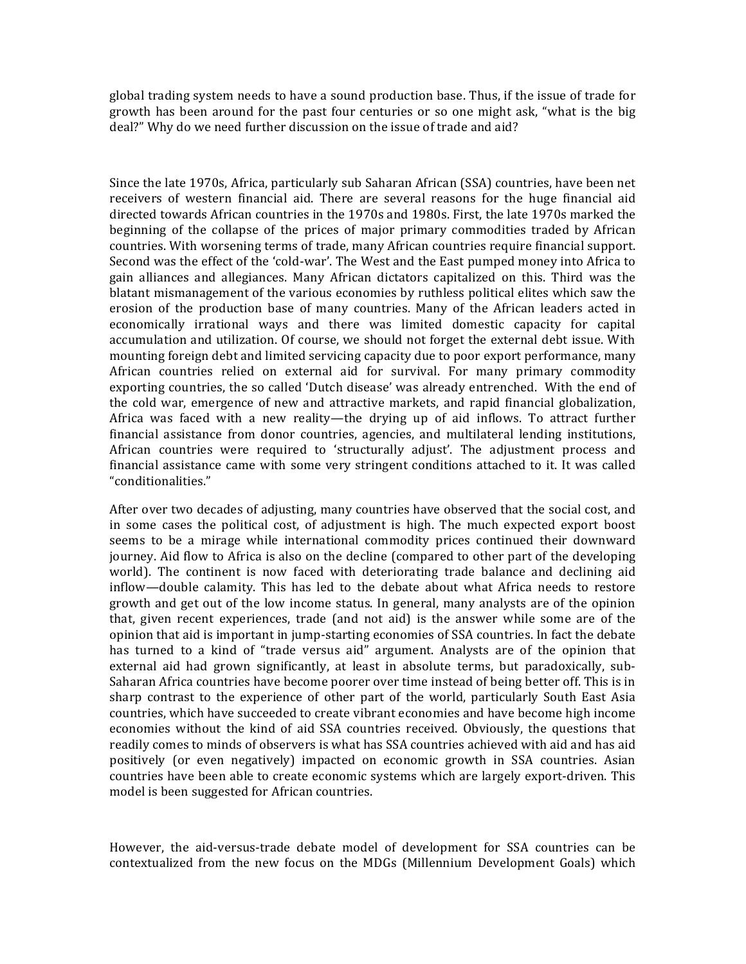global trading system needs to have a sound production base. Thus, if the issue of trade for growth has been around for the past four centuries or so one might ask, "what is the big deal?" Why do we need further discussion on the issue of trade and aid?

Since the late 1970s, Africa, particularly sub Saharan African (SSA) countries, have been net receivers of western financial aid. There are several reasons for the huge financial aid directed towards African countries in the 1970s and 1980s. First, the late 1970s marked the beginning of the collapse of the prices of major primary commodities traded by African countries. With worsening terms of trade, many African countries require financial support. Second was the effect of the 'cold-war'. The West and the East pumped money into Africa to gain alliances and allegiances. Many African dictators capitalized on this. Third was the blatant mismanagement of the various economies by ruthless political elites which saw the erosion of the production base of many countries. Many of the African leaders acted in economically irrational ways and there was limited domestic capacity for capital accumulation and utilization. Of course, we should not forget the external debt issue. With mounting foreign debt and limited servicing capacity due to poor export performance, many African countries relied on external aid for survival. For many primary commodity exporting countries, the so called 'Dutch disease' was already entrenched. With the end of the cold war, emergence of new and attractive markets, and rapid financial globalization, Africa was faced with a new reality—the drying up of aid inflows. To attract further financial assistance from donor countries, agencies, and multilateral lending institutions, African countries were required to 'structurally adjust'. The adjustment process and financial assistance came with some very stringent conditions attached to it. It was called "conditionalities." 

After over two decades of adjusting, many countries have observed that the social cost, and in some cases the political cost, of adjustment is high. The much expected export boost seems to be a mirage while international commodity prices continued their downward journey. Aid flow to Africa is also on the decline (compared to other part of the developing world). The continent is now faced with deteriorating trade balance and declining aid inflow—double calamity. This has led to the debate about what Africa needs to restore growth and get out of the low income status. In general, many analysts are of the opinion that, given recent experiences, trade (and not aid) is the answer while some are of the opinion that aid is important in jump-starting economies of SSA countries. In fact the debate has turned to a kind of "trade versus aid" argument. Analysts are of the opinion that external aid had grown significantly, at least in absolute terms, but paradoxically, sub-Saharan Africa countries have become poorer over time instead of being better off. This is in sharp contrast to the experience of other part of the world, particularly South East Asia countries, which have succeeded to create vibrant economies and have become high income economies without the kind of aid SSA countries received. Obviously, the questions that readily comes to minds of observers is what has SSA countries achieved with aid and has aid positively (or even negatively) impacted on economic growth in SSA countries. Asian countries have been able to create economic systems which are largely export-driven. This model is been suggested for African countries.

However, the aid-versus-trade debate model of development for SSA countries can be contextualized from the new focus on the MDGs (Millennium Development Goals) which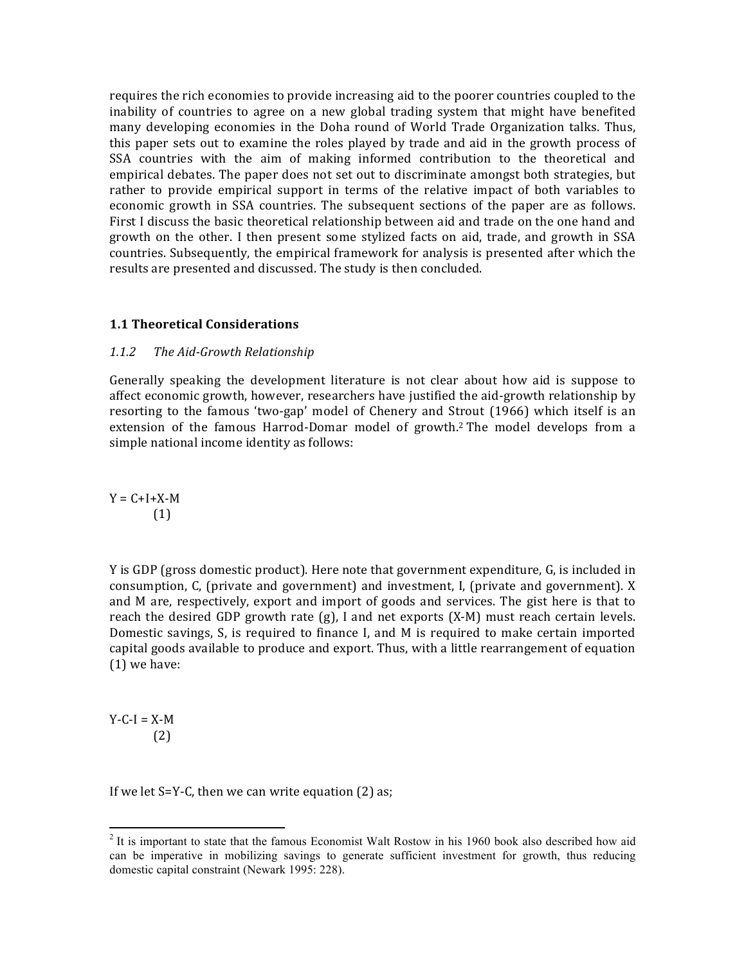requires the rich economies to provide increasing aid to the poorer countries coupled to the inability of countries to agree on a new global trading system that might have benefited many developing economies in the Doha round of World Trade Organization talks. Thus, this paper sets out to examine the roles played by trade and aid in the growth process of SSA countries with the aim of making informed contribution to the theoretical and empirical debates. The paper does not set out to discriminate amongst both strategies, but rather to provide empirical support in terms of the relative impact of both variables to economic growth in SSA countries. The subsequent sections of the paper are as follows. First I discuss the basic theoretical relationship between aid and trade on the one hand and growth on the other. I then present some stylized facts on aid, trade, and growth in SSA countries. Subsequently, the empirical framework for analysis is presented after which the results are presented and discussed. The study is then concluded.

## **1.1 Theoretical Considerations**

## 1.1.2 The Aid-Growth Relationship

Generally speaking the development literature is not clear about how aid is suppose to affect economic growth, however, researchers have justified the aid-growth relationship by resorting to the famous 'two-gap' model of Chenery and Strout (1966) which itself is an extension of the famous Harrod-Domar model of growth.<sup>2</sup> The model develops from a simple national income identity as follows:

 $Y = C + I + X - M$ (1)

Y is GDP (gross domestic product). Here note that government expenditure, G, is included in consumption, C, (private and government) and investment, I, (private and government). X and M are, respectively, export and import of goods and services. The gist here is that to reach the desired GDP growth rate  $(g)$ , I and net exports  $(X-M)$  must reach certain levels. Domestic savings,  $S$ , is required to finance I, and M is required to make certain imported capital goods available to produce and export. Thus, with a little rearrangement of equation  $(1)$  we have:

 $Y-C-I = X-M$ (2)

If we let  $S=Y-C$ , then we can write equation  $(2)$  as;

 

 $2$  It is important to state that the famous Economist Walt Rostow in his 1960 book also described how aid can be imperative in mobilizing savings to generate sufficient investment for growth, thus reducing domestic capital constraint (Newark 1995: 228).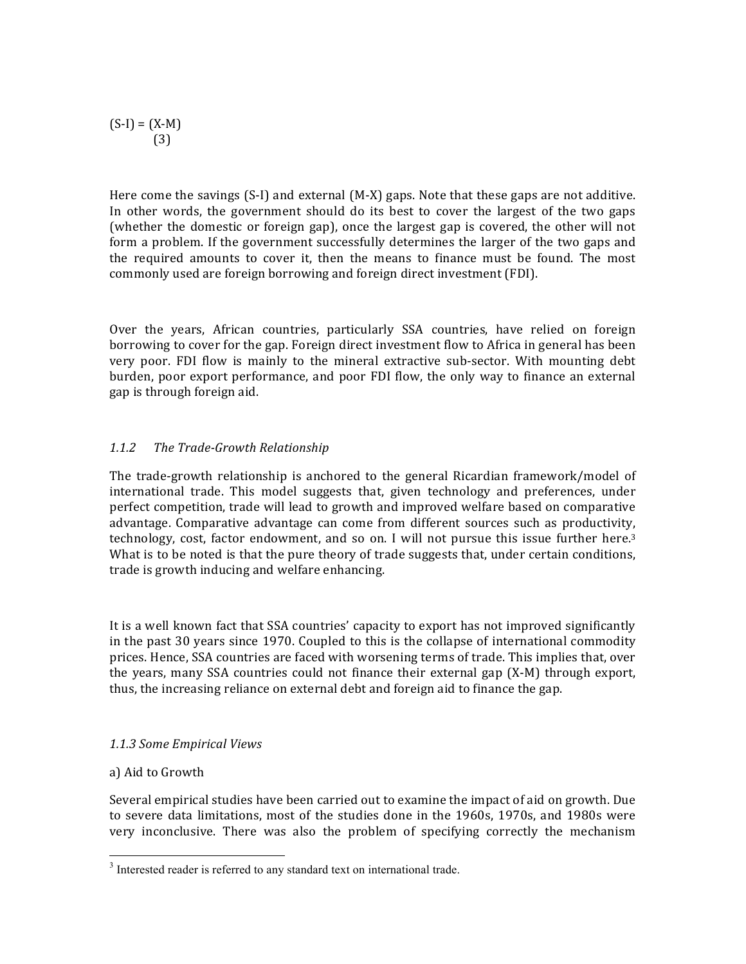$(S-I) = (X-M)$ (3)

Here come the savings  $(S-I)$  and external  $(M-X)$  gaps. Note that these gaps are not additive. In other words, the government should do its best to cover the largest of the two gaps (whether the domestic or foreign gap), once the largest gap is covered, the other will not form a problem. If the government successfully determines the larger of the two gaps and the required amounts to cover it, then the means to finance must be found. The most commonly used are foreign borrowing and foreign direct investment (FDI).

Over the years, African countries, particularly SSA countries, have relied on foreign borrowing to cover for the gap. Foreign direct investment flow to Africa in general has been very poor. FDI flow is mainly to the mineral extractive sub-sector. With mounting debt burden, poor export performance, and poor FDI flow, the only way to finance an external gap is through foreign aid.

# *1.1.2 The Trade-Growth Relationship*

The trade-growth relationship is anchored to the general Ricardian framework/model of international trade. This model suggests that, given technology and preferences, under perfect competition, trade will lead to growth and improved welfare based on comparative advantage. Comparative advantage can come from different sources such as productivity, technology, cost, factor endowment, and so on. I will not pursue this issue further here.<sup>3</sup> What is to be noted is that the pure theory of trade suggests that, under certain conditions, trade is growth inducing and welfare enhancing.

It is a well known fact that SSA countries' capacity to export has not improved significantly in the past 30 years since 1970. Coupled to this is the collapse of international commodity prices. Hence, SSA countries are faced with worsening terms of trade. This implies that, over the years, many SSA countries could not finance their external gap  $(X-M)$  through export, thus, the increasing reliance on external debt and foreign aid to finance the gap.

## *1.1.3 Some Empirical Views*

<u> 1989 - Johann Stein, markin film yn y breninn y breninn y breninn y breninn y breninn y breninn y breninn y b</u>

## a) Aid to Growth

Several empirical studies have been carried out to examine the impact of aid on growth. Due to severe data limitations, most of the studies done in the 1960s, 1970s, and 1980s were very inconclusive. There was also the problem of specifying correctly the mechanism

<sup>&</sup>lt;sup>3</sup> Interested reader is referred to any standard text on international trade.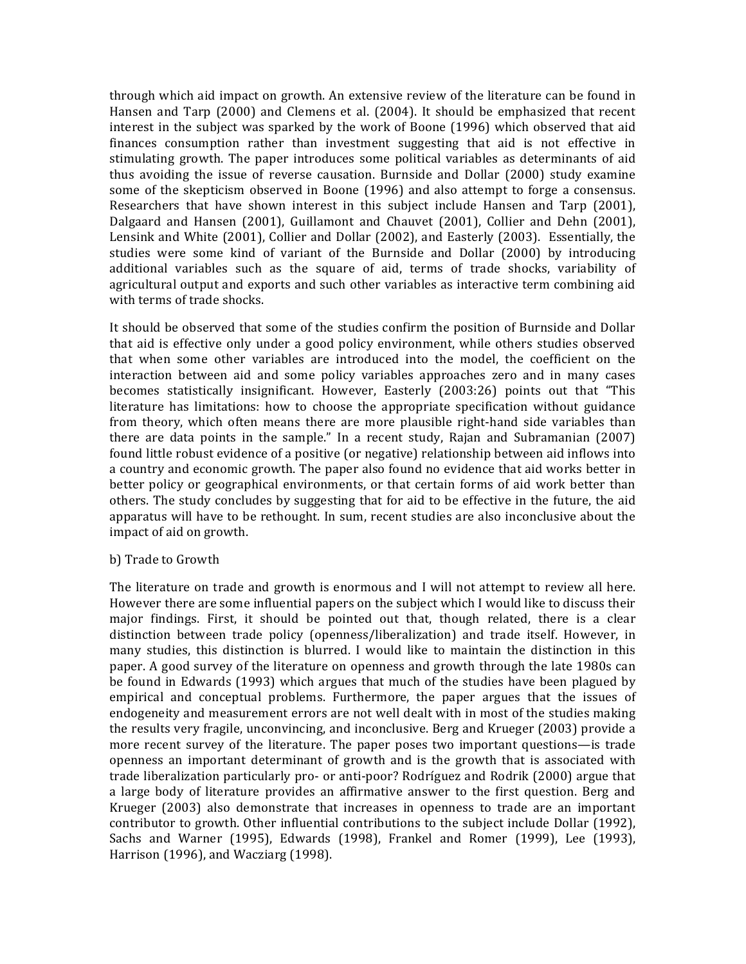through which aid impact on growth. An extensive review of the literature can be found in Hansen and Tarp (2000) and Clemens et al. (2004). It should be emphasized that recent interest in the subject was sparked by the work of Boone (1996) which observed that aid finances consumption rather than investment suggesting that aid is not effective in stimulating growth. The paper introduces some political variables as determinants of aid thus avoiding the issue of reverse causation. Burnside and Dollar (2000) study examine some of the skepticism observed in Boone (1996) and also attempt to forge a consensus. Researchers that have shown interest in this subject include Hansen and Tarp (2001), Dalgaard and Hansen (2001), Guillamont and Chauvet (2001), Collier and Dehn (2001), Lensink and White (2001), Collier and Dollar (2002), and Easterly (2003). Essentially, the studies were some kind of variant of the Burnside and Dollar (2000) by introducing additional variables such as the square of aid, terms of trade shocks, variability of agricultural output and exports and such other variables as interactive term combining aid with terms of trade shocks.

It should be observed that some of the studies confirm the position of Burnside and Dollar that aid is effective only under a good policy environment, while others studies observed that when some other variables are introduced into the model, the coefficient on the interaction between aid and some policy variables approaches zero and in many cases becomes statistically insignificant. However, Easterly (2003:26) points out that "This literature has limitations: how to choose the appropriate specification without guidance from theory, which often means there are more plausible right-hand side variables than there are data points in the sample." In a recent study, Rajan and Subramanian  $(2007)$ found little robust evidence of a positive (or negative) relationship between aid inflows into a country and economic growth. The paper also found no evidence that aid works better in better policy or geographical environments, or that certain forms of aid work better than others. The study concludes by suggesting that for aid to be effective in the future, the aid apparatus will have to be rethought. In sum, recent studies are also inconclusive about the impact of aid on growth.

## b) Trade to Growth

The literature on trade and growth is enormous and I will not attempt to review all here. However there are some influential papers on the subject which I would like to discuss their major findings. First, it should be pointed out that, though related, there is a clear distinction between trade policy (openness/liberalization) and trade itself. However, in many studies, this distinction is blurred. I would like to maintain the distinction in this paper. A good survey of the literature on openness and growth through the late 1980s can be found in Edwards (1993) which argues that much of the studies have been plagued by empirical and conceptual problems. Furthermore, the paper argues that the issues of endogeneity and measurement errors are not well dealt with in most of the studies making the results very fragile, unconvincing, and inconclusive. Berg and Krueger (2003) provide a more recent survey of the literature. The paper poses two important questions—is trade openness an important determinant of growth and is the growth that is associated with trade liberalization particularly pro- or anti-poor? Rodríguez and Rodrik (2000) argue that a large body of literature provides an affirmative answer to the first question. Berg and Krueger  $(2003)$  also demonstrate that increases in openness to trade are an important contributor to growth. Other influential contributions to the subject include Dollar (1992), Sachs and Warner  $(1995)$ , Edwards  $(1998)$ , Frankel and Romer  $(1999)$ , Lee  $(1993)$ , Harrison  $(1996)$ , and Wacziarg  $(1998)$ .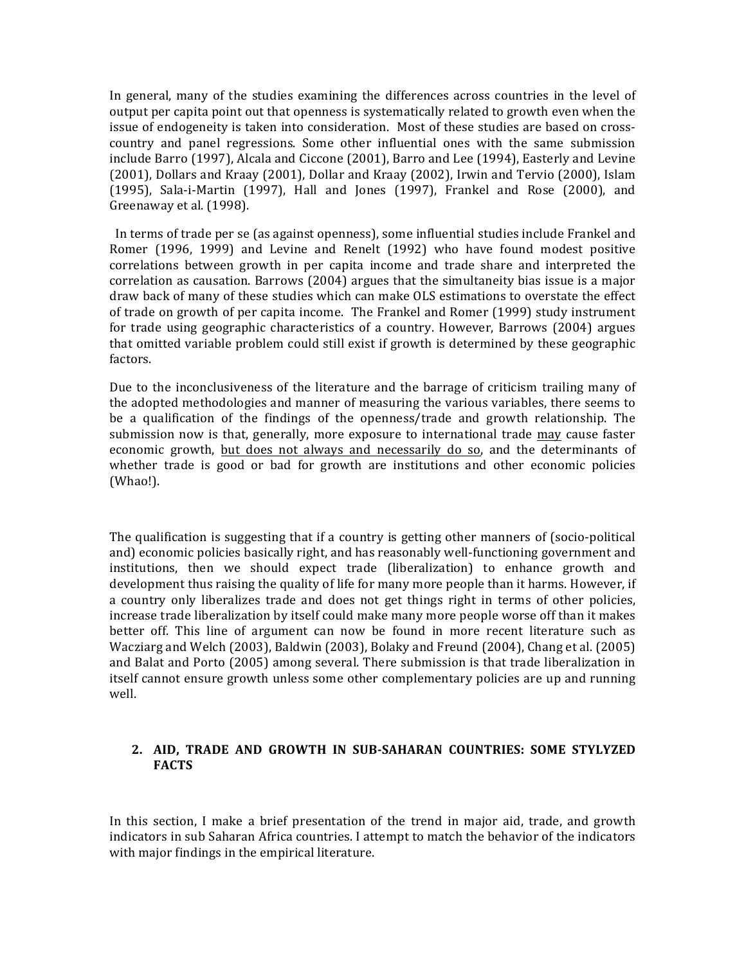In general, many of the studies examining the differences across countries in the level of output per capita point out that openness is systematically related to growth even when the issue of endogeneity is taken into consideration. Most of these studies are based on crosscountry and panel regressions. Some other influential ones with the same submission include Barro (1997), Alcala and Ciccone (2001), Barro and Lee (1994), Easterly and Levine (2001), Dollars and Kraay (2001), Dollar and Kraay (2002), Irwin and Tervio (2000), Islam  $(1995)$ , Sala-i-Martin  $(1997)$ , Hall and Jones  $(1997)$ , Frankel and Rose  $(2000)$ , and Greenaway et al. (1998).

In terms of trade per se (as against openness), some influential studies include Frankel and Romer (1996, 1999) and Levine and Renelt (1992) who have found modest positive correlations between growth in per capita income and trade share and interpreted the correlation as causation. Barrows (2004) argues that the simultaneity bias issue is a major draw back of many of these studies which can make OLS estimations to overstate the effect of trade on growth of per capita income. The Frankel and Romer (1999) study instrument for trade using geographic characteristics of a country. However, Barrows  $(2004)$  argues that omitted variable problem could still exist if growth is determined by these geographic factors.

Due to the inconclusiveness of the literature and the barrage of criticism trailing many of the adopted methodologies and manner of measuring the various variables, there seems to be a qualification of the findings of the openness/trade and growth relationship. The submission now is that, generally, more exposure to international trade may cause faster economic growth, but does not always and necessarily do so, and the determinants of whether trade is good or bad for growth are institutions and other economic policies (Whao!). 

The qualification is suggesting that if a country is getting other manners of (socio-political and) economic policies basically right, and has reasonably well-functioning government and institutions, then we should expect trade (liberalization) to enhance growth and development thus raising the quality of life for many more people than it harms. However, if a country only liberalizes trade and does not get things right in terms of other policies, increase trade liberalization by itself could make many more people worse off than it makes better off. This line of argument can now be found in more recent literature such as Wacziarg and Welch (2003), Baldwin (2003), Bolaky and Freund (2004), Chang et al. (2005) and Balat and Porto (2005) among several. There submission is that trade liberalization in itself cannot ensure growth unless some other complementary policies are up and running well.

# 2. AID, TRADE AND GROWTH IN SUB-SAHARAN COUNTRIES: SOME STYLYZED **FACTS**

In this section, I make a brief presentation of the trend in major aid, trade, and growth indicators in sub Saharan Africa countries. I attempt to match the behavior of the indicators with major findings in the empirical literature.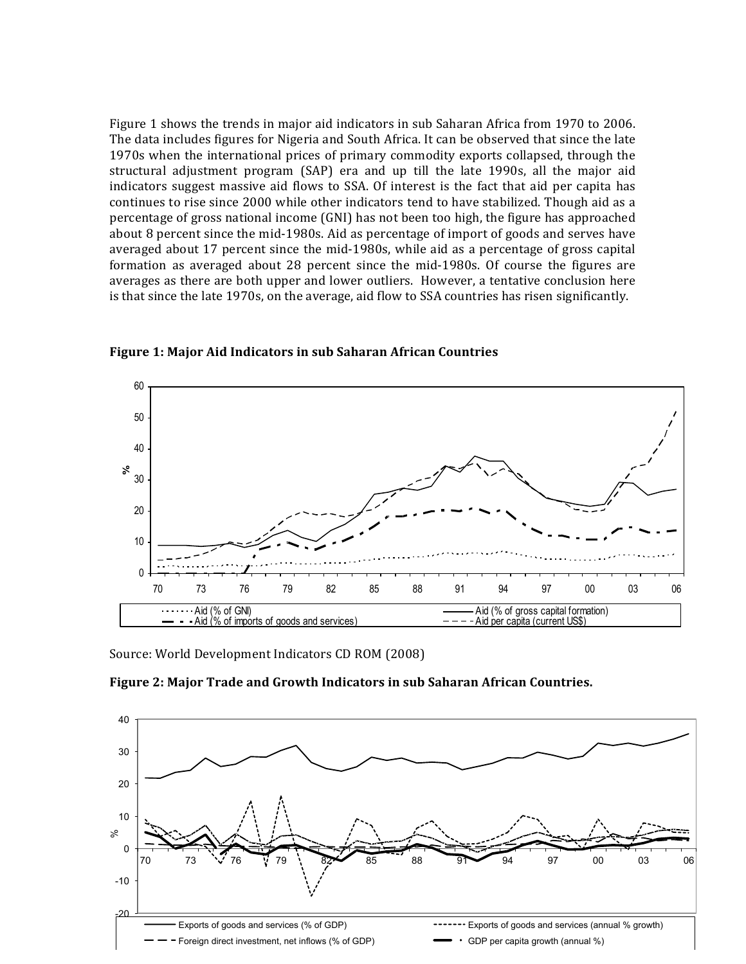Figure 1 shows the trends in major aid indicators in sub Saharan Africa from 1970 to 2006. The data includes figures for Nigeria and South Africa. It can be observed that since the late 1970s when the international prices of primary commodity exports collapsed, through the structural adjustment program (SAP) era and up till the late 1990s, all the major aid indicators suggest massive aid flows to SSA. Of interest is the fact that aid per capita has continues to rise since 2000 while other indicators tend to have stabilized. Though aid as a percentage of gross national income (GNI) has not been too high, the figure has approached about 8 percent since the mid-1980s. Aid as percentage of import of goods and serves have averaged about 17 percent since the mid-1980s, while aid as a percentage of gross capital formation as averaged about 28 percent since the mid-1980s. Of course the figures are averages as there are both upper and lower outliers. However, a tentative conclusion here is that since the late 1970s, on the average, aid flow to SSA countries has risen significantly.



**Figure 1: Major Aid Indicators in sub Saharan African Countries** 

Source: World Development Indicators CD ROM (2008)



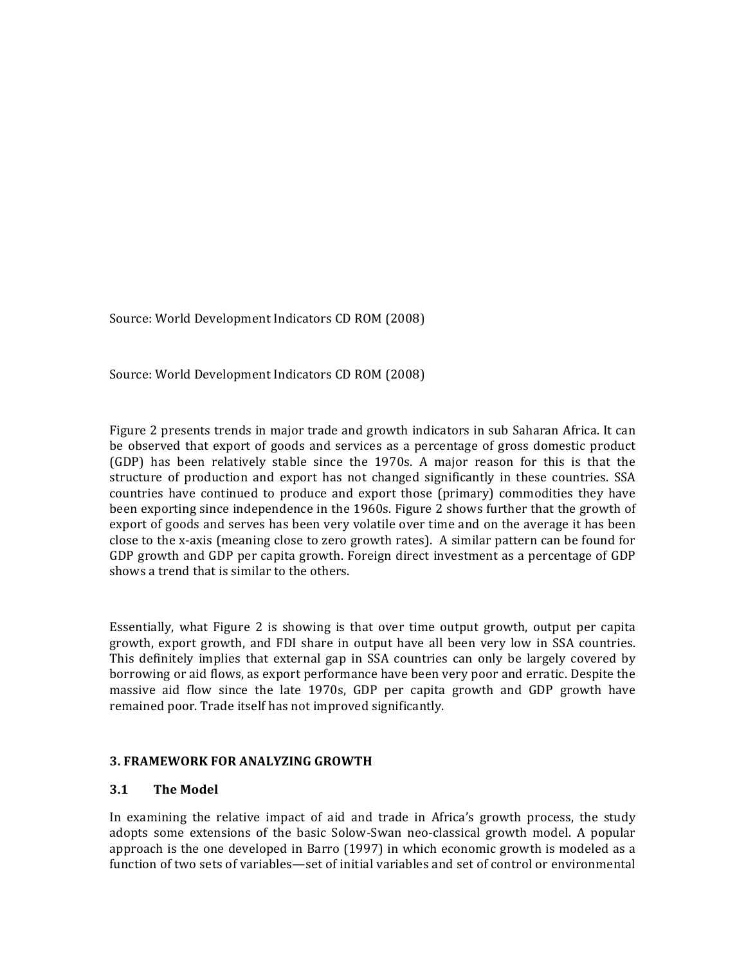Source: World Development Indicators CD ROM (2008)

Source: World Development Indicators CD ROM (2008)

Figure 2 presents trends in major trade and growth indicators in sub Saharan Africa. It can be observed that export of goods and services as a percentage of gross domestic product (GDP) has been relatively stable since the 1970s. A major reason for this is that the structure of production and export has not changed significantly in these countries. SSA countries have continued to produce and export those (primary) commodities they have been exporting since independence in the 1960s. Figure 2 shows further that the growth of export of goods and serves has been very volatile over time and on the average it has been close to the x-axis (meaning close to zero growth rates). A similar pattern can be found for GDP growth and GDP per capita growth. Foreign direct investment as a percentage of GDP shows a trend that is similar to the others.

Essentially, what Figure 2 is showing is that over time output growth, output per capita growth, export growth, and FDI share in output have all been very low in SSA countries. This definitely implies that external gap in SSA countries can only be largely covered by borrowing or aid flows, as export performance have been very poor and erratic. Despite the massive aid flow since the late 1970s, GDP per capita growth and GDP growth have remained poor. Trade itself has not improved significantly.

## **3. FRAMEWORK FOR ANALYZING GROWTH**

## **3.1 The Model**

In examining the relative impact of aid and trade in Africa's growth process, the study adopts some extensions of the basic Solow-Swan neo-classical growth model. A popular approach is the one developed in Barro  $(1997)$  in which economic growth is modeled as a function of two sets of variables—set of initial variables and set of control or environmental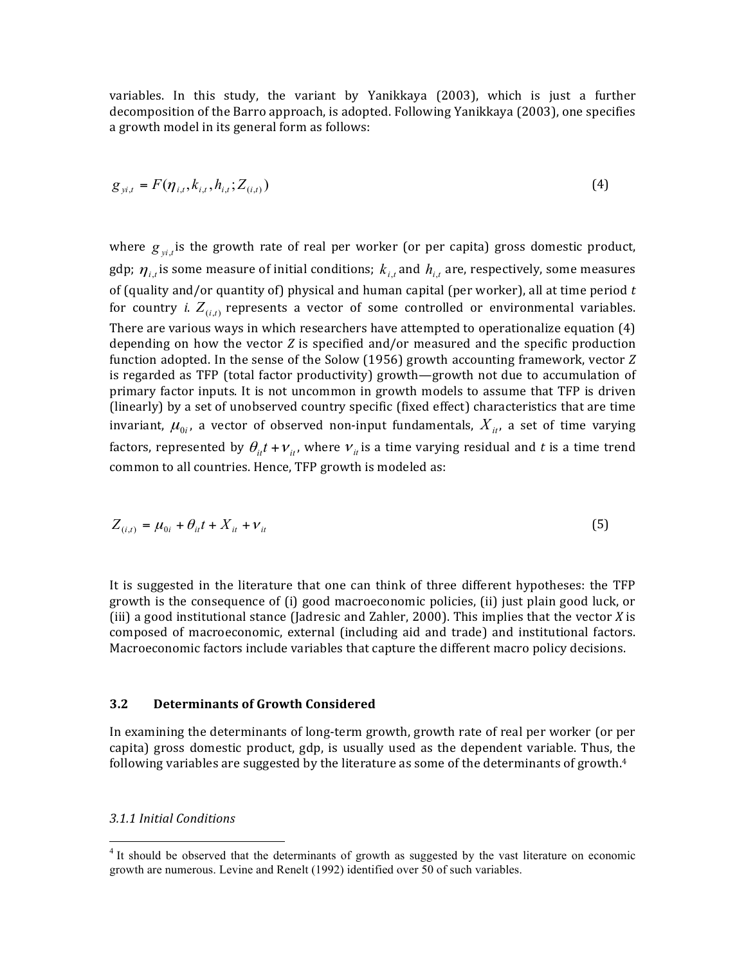variables. In this study, the variant by Yanikkaya (2003), which is just a further decomposition of the Barro approach, is adopted. Following Yanikkaya (2003), one specifies a growth model in its general form as follows:

$$
g_{y_{i,t}} = F(\eta_{i,t}, k_{i,t}, h_{i,t}; Z_{(i,t)})
$$
\n(4)

where  $g_{y_i,t}$  is the growth rate of real per worker (or per capita) gross domestic product, gdp;  $\eta_{i,t}$  is some measure of initial conditions;  $k_{i,t}$  and  $h_{i,t}$  are, respectively, some measures of (quality and/or quantity of) physical and human capital (per worker), all at time period  $t$ for country *i*.  $Z_{(i,t)}$  represents a vector of some controlled or environmental variables. There are various ways in which researchers have attempted to operationalize equation  $(4)$ depending on how the vector *Z* is specified and/or measured and the specific production function adopted. In the sense of the Solow (1956) growth accounting framework, vector *Z* is regarded as TFP (total factor productivity) growth—growth not due to accumulation of primary factor inputs. It is not uncommon in growth models to assume that TFP is driven (linearly) by a set of unobserved country specific (fixed effect) characteristics that are time invariant,  $\mu_{0i}$ , a vector of observed non-input fundamentals,  $X_{it}$ , a set of time varying factors, represented by  $\theta_{it} t + v_{it}$ , where  $v_{it}$  is a time varying residual and t is a time trend common to all countries. Hence, TFP growth is modeled as:

$$
Z_{(i,t)} = \mu_{0i} + \theta_{it} t + X_{it} + \nu_{it}
$$
\n(5)

It is suggested in the literature that one can think of three different hypotheses: the TFP growth is the consequence of (i) good macroeconomic policies, (ii) just plain good luck, or (iii) a good institutional stance (Jadresic and Zahler, 2000). This implies that the vector  $X$  is composed of macroeconomic, external (including aid and trade) and institutional factors. Macroeconomic factors include variables that capture the different macro policy decisions.

#### **3.2 Determinants of Growth Considered**

In examining the determinants of long-term growth, growth rate of real per worker (or per capita) gross domestic product, gdp, is usually used as the dependent variable. Thus, the following variables are suggested by the literature as some of the determinants of growth.<sup>4</sup>

#### *3.1.1 Initial Conditions*

<u> 1989 - Johann Stein, markin film yn y breninn y breninn y breninn y breninn y breninn y breninn y breninn y b</u>

<sup>&</sup>lt;sup>4</sup> It should be observed that the determinants of growth as suggested by the vast literature on economic growth are numerous. Levine and Renelt (1992) identified over 50 of such variables.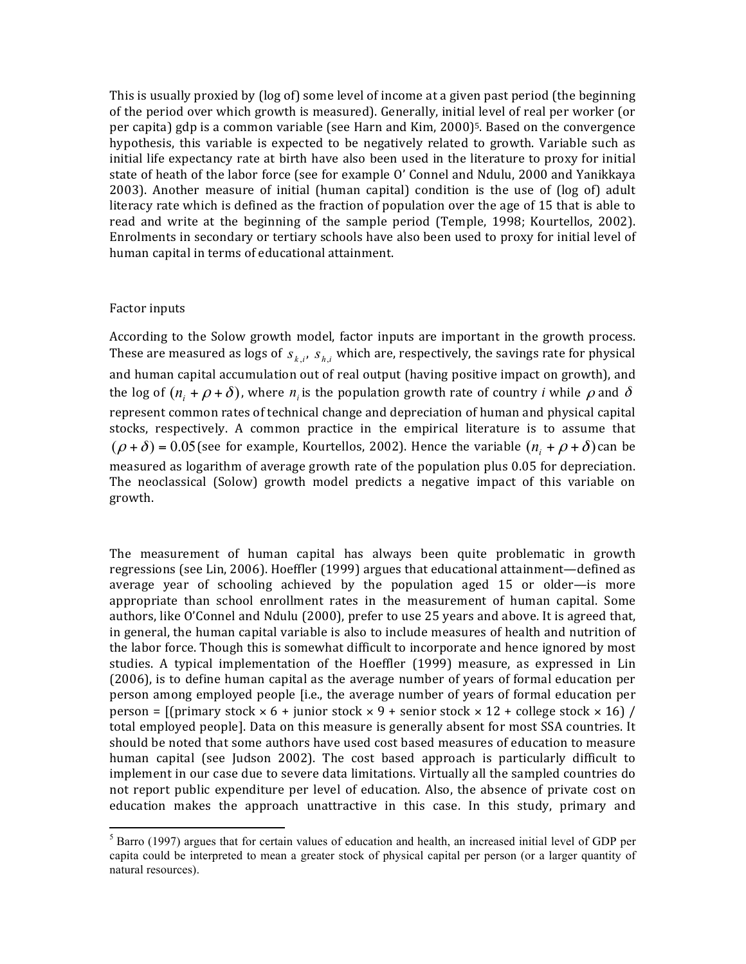This is usually proxied by (log of) some level of income at a given past period (the beginning of the period over which growth is measured). Generally, initial level of real per worker (or per capita) gdp is a common variable (see Harn and Kim, 2000)<sup>5</sup>. Based on the convergence hypothesis, this variable is expected to be negatively related to growth. Variable such as initial life expectancy rate at birth have also been used in the literature to proxy for initial state of heath of the labor force (see for example O' Connel and Ndulu, 2000 and Yanikkaya 2003). Another measure of initial (human capital) condition is the use of (log of) adult literacy rate which is defined as the fraction of population over the age of 15 that is able to read and write at the beginning of the sample period (Temple, 1998; Kourtellos, 2002). Enrolments in secondary or tertiary schools have also been used to proxy for initial level of human capital in terms of educational attainment.

#### Factor inputs

 

According to the Solow growth model, factor inputs are important in the growth process. These are measured as logs of  $s_{k,i}$ ,  $s_{h,i}$  which are, respectively, the savings rate for physical and human capital accumulation out of real output (having positive impact on growth), and the log of  $(n_i + \rho + \delta)$ , where  $n_i$  is the population growth rate of country *i* while  $\rho$  and  $\delta$ represent common rates of technical change and depreciation of human and physical capital stocks, respectively. A common practice in the empirical literature is to assume that  $(\rho + \delta) = 0.05$  (see for example, Kourtellos, 2002). Hence the variable  $(n_i + \rho + \delta)$  can be measured as logarithm of average growth rate of the population plus 0.05 for depreciation. The neoclassical (Solow) growth model predicts a negative impact of this variable on growth. 

The measurement of human capital has always been quite problematic in growth regressions (see Lin, 2006). Hoeffler (1999) argues that educational attainment—defined as average year of schooling achieved by the population aged  $15$  or older—is more appropriate than school enrollment rates in the measurement of human capital. Some authors, like O'Connel and Ndulu (2000), prefer to use 25 years and above. It is agreed that, in general, the human capital variable is also to include measures of health and nutrition of the labor force. Though this is somewhat difficult to incorporate and hence ignored by most studies. A typical implementation of the Hoeffler (1999) measure, as expressed in Lin  $(2006)$ , is to define human capital as the average number of years of formal education per person among employed people [i.e., the average number of years of formal education per person =  $[(\text{primary stock} \times 6 + \text{junior stock} \times 9 + \text{ senior stock} \times 12 + \text{college stock} \times 16)]$ total employed people]. Data on this measure is generally absent for most SSA countries. It should be noted that some authors have used cost based measures of education to measure human capital (see Judson 2002). The cost based approach is particularly difficult to implement in our case due to severe data limitations. Virtually all the sampled countries do not report public expenditure per level of education. Also, the absence of private cost on education makes the approach unattractive in this case. In this study, primary and

 $<sup>5</sup>$  Barro (1997) argues that for certain values of education and health, an increased initial level of GDP per</sup> capita could be interpreted to mean a greater stock of physical capital per person (or a larger quantity of natural resources).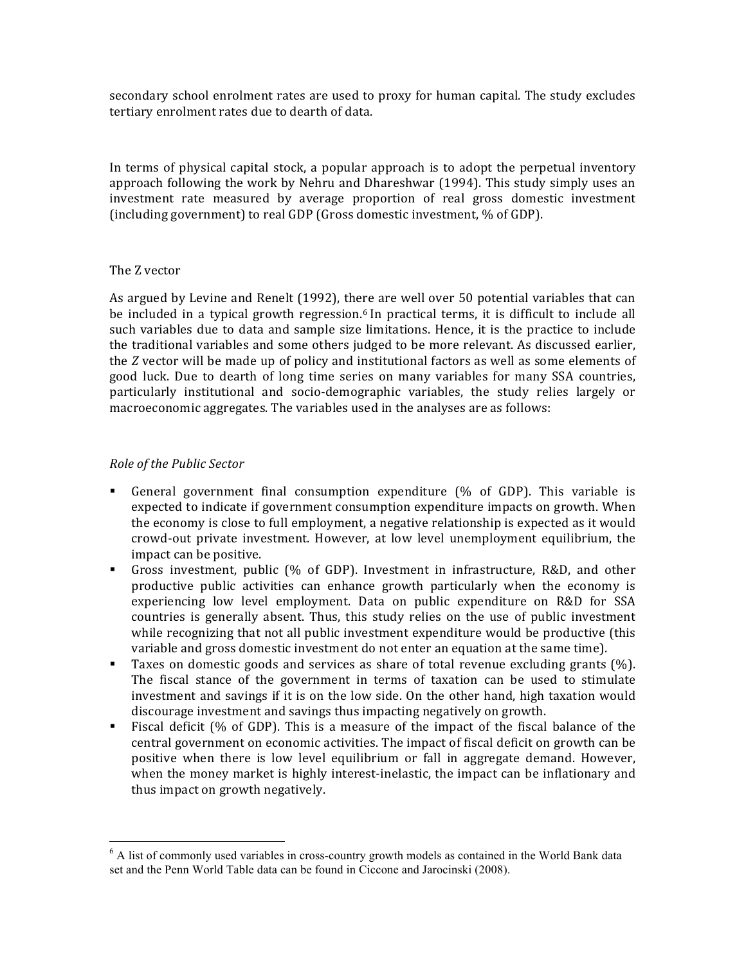secondary school enrolment rates are used to proxy for human capital. The study excludes tertiary enrolment rates due to dearth of data.

In terms of physical capital stock, a popular approach is to adopt the perpetual inventory approach following the work by Nehru and Dhareshwar  $(1994)$ . This study simply uses an investment rate measured by average proportion of real gross domestic investment (including government) to real GDP (Gross domestic investment,  $\%$  of GDP).

## The Z vector

As argued by Levine and Renelt (1992), there are well over 50 potential variables that can be included in a typical growth regression.<sup>6</sup> In practical terms, it is difficult to include all such variables due to data and sample size limitations. Hence, it is the practice to include the traditional variables and some others judged to be more relevant. As discussed earlier, the *Z* vector will be made up of policy and institutional factors as well as some elements of good luck. Due to dearth of long time series on many variables for many SSA countries, particularly institutional and socio-demographic variables, the study relies largely or macroeconomic aggregates. The variables used in the analyses are as follows:

## *Role of the Public Sector*

<u> 1989 - Johann Stein, markin film yn y breninn y breninn y breninn y breninn y breninn y breninn y breninn y b</u>

- General government final consumption expenditure (% of GDP). This variable is expected to indicate if government consumption expenditure impacts on growth. When the economy is close to full employment, a negative relationship is expected as it would crowd-out private investment. However, at low level unemployment equilibrium, the impact can be positive.
- Gross investment, public (% of GDP). Investment in infrastructure, R&D, and other productive public activities can enhance growth particularly when the economy is experiencing low level employment. Data on public expenditure on R&D for SSA countries is generally absent. Thus, this study relies on the use of public investment while recognizing that not all public investment expenditure would be productive (this variable and gross domestic investment do not enter an equation at the same time).
- **•** Taxes on domestic goods and services as share of total revenue excluding grants (%). The fiscal stance of the government in terms of taxation can be used to stimulate investment and savings if it is on the low side. On the other hand, high taxation would discourage investment and savings thus impacting negatively on growth.
- Fiscal deficit  $(\%$  of GDP). This is a measure of the impact of the fiscal balance of the central government on economic activities. The impact of fiscal deficit on growth can be positive when there is low level equilibrium or fall in aggregate demand. However, when the money market is highly interest-inelastic, the impact can be inflationary and thus impact on growth negatively.

 $6$  A list of commonly used variables in cross-country growth models as contained in the World Bank data set and the Penn World Table data can be found in Ciccone and Jarocinski (2008).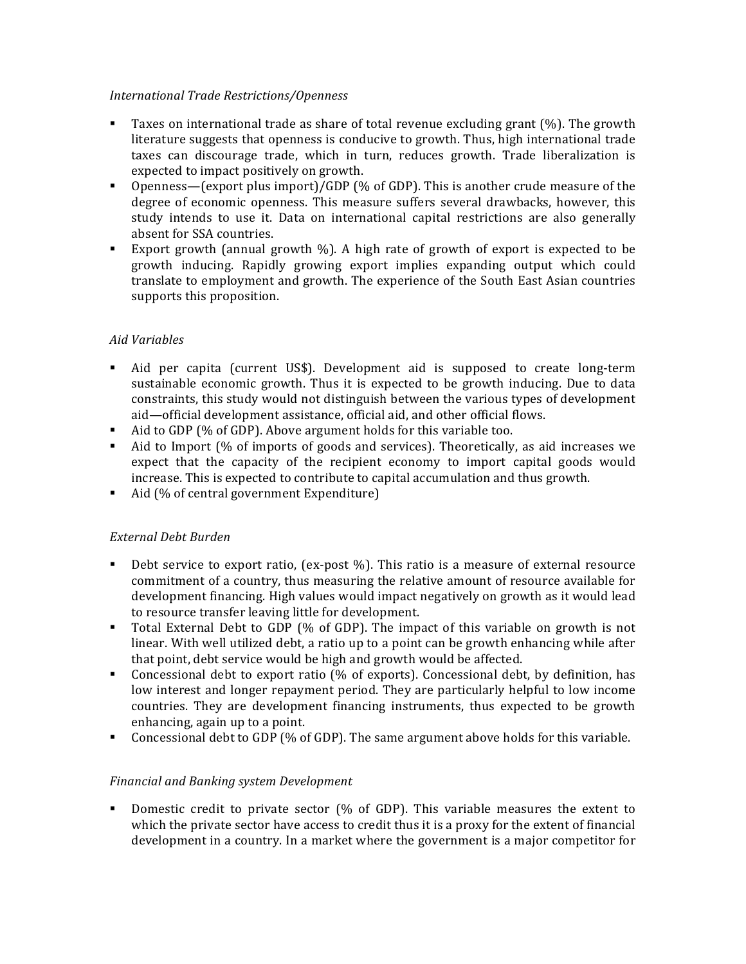# *International Trade Restrictions/Openness*

- **•** Taxes on international trade as share of total revenue excluding grant  $(\%)$ . The growth literature suggests that openness is conducive to growth. Thus, high international trade taxes can discourage trade, which in turn, reduces growth. Trade liberalization is expected to impact positively on growth.
- Openness—(export plus import)/GDP (% of GDP). This is another crude measure of the degree of economic openness. This measure suffers several drawbacks, however, this study intends to use it. Data on international capital restrictions are also generally absent for SSA countries.
- Export growth (annual growth  $\%$ ). A high rate of growth of export is expected to be growth inducing. Rapidly growing export implies expanding output which could translate to employment and growth. The experience of the South East Asian countries supports this proposition.

# *Aid Variables*

- Aid per capita (current US\$). Development aid is supposed to create long-term sustainable economic growth. Thus it is expected to be growth inducing. Due to data constraints, this study would not distinguish between the various types of development aid-official development assistance, official aid, and other official flows.
- Aid to GDP  $\left(\% \right)$  of GDP). Above argument holds for this variable too.
- Aid to Import (% of imports of goods and services). Theoretically, as aid increases we expect that the capacity of the recipient economy to import capital goods would increase. This is expected to contribute to capital accumulation and thus growth.
- Aid (% of central government Expenditure)

# *External Debt Burden*

- Debt service to export ratio, (ex-post  $\%$ ). This ratio is a measure of external resource commitment of a country, thus measuring the relative amount of resource available for development financing. High values would impact negatively on growth as it would lead to resource transfer leaving little for development.
- Total External Debt to GDP (% of GDP). The impact of this variable on growth is not linear. With well utilized debt, a ratio up to a point can be growth enhancing while after that point, debt service would be high and growth would be affected.
- Concessional debt to export ratio (% of exports). Concessional debt, by definition, has low interest and longer repayment period. They are particularly helpful to low income countries. They are development financing instruments, thus expected to be growth enhancing, again up to a point.
- Concessional debt to GDP (% of GDP). The same argument above holds for this variable.

# *Financial and Banking system Development*

• Domestic credit to private sector  $\left(\% \right)$  of GDP). This variable measures the extent to which the private sector have access to credit thus it is a proxy for the extent of financial development in a country. In a market where the government is a major competitor for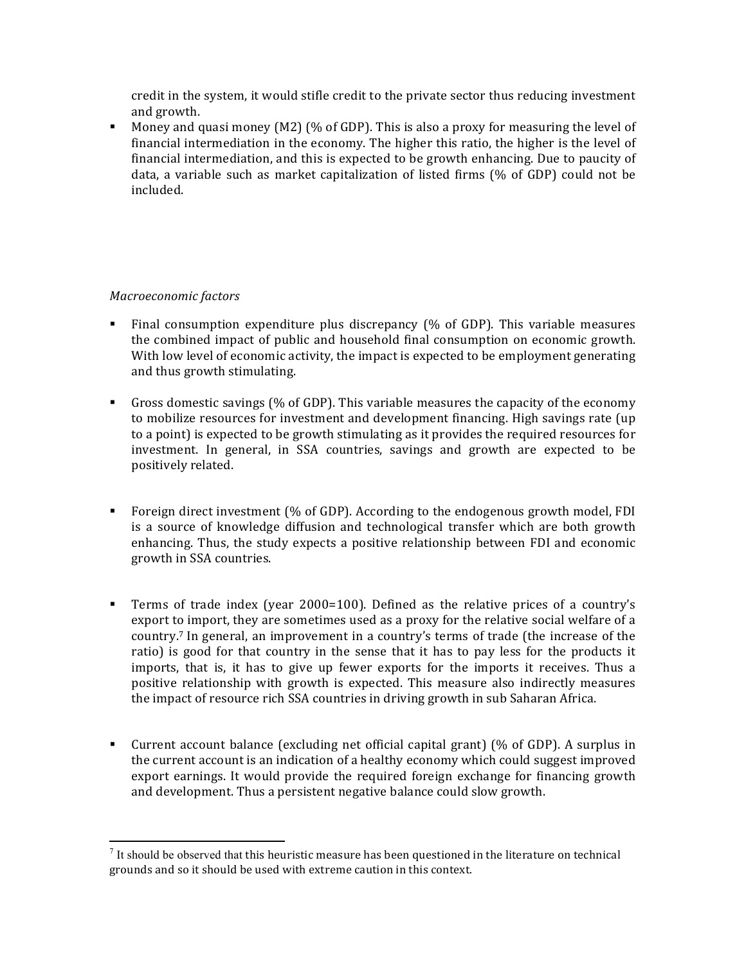credit in the system, it would stifle credit to the private sector thus reducing investment and growth.

• Money and quasi money (M2) (% of GDP). This is also a proxy for measuring the level of financial intermediation in the economy. The higher this ratio, the higher is the level of financial intermediation, and this is expected to be growth enhancing. Due to paucity of data, a variable such as market capitalization of listed firms (% of GDP) could not be included. 

## *Macroeconomic factors*

<u> 1989 - Johann Stein, markin film yn y breninn y breninn y breninn y breninn y breninn y breninn y breninn y b</u>

- Final consumption expenditure plus discrepancy  $\frac{1}{6}$  of GDP). This variable measures the combined impact of public and household final consumption on economic growth. With low level of economic activity, the impact is expected to be employment generating and thus growth stimulating.
- Gross domestic savings (% of GDP). This variable measures the capacity of the economy to mobilize resources for investment and development financing. High savings rate (up to a point) is expected to be growth stimulating as it provides the required resources for investment. In general, in SSA countries, savings and growth are expected to be positively related.
- Foreign direct investment  $\frac{1}{6}$  of GDP). According to the endogenous growth model, FDI is a source of knowledge diffusion and technological transfer which are both growth enhancing. Thus, the study expects a positive relationship between FDI and economic growth in SSA countries.
- **•** Terms of trade index (year  $2000=100$ ). Defined as the relative prices of a country's export to import, they are sometimes used as a proxy for the relative social welfare of a country.<sup>7</sup> In general, an improvement in a country's terms of trade (the increase of the ratio) is good for that country in the sense that it has to pay less for the products it imports, that is, it has to give up fewer exports for the imports it receives. Thus a positive relationship with growth is expected. This measure also indirectly measures the impact of resource rich SSA countries in driving growth in sub Saharan Africa.
- Current account balance (excluding net official capital grant) (% of GDP). A surplus in the current account is an indication of a healthy economy which could suggest improved export earnings. It would provide the required foreign exchange for financing growth and development. Thus a persistent negative balance could slow growth.

 $<sup>7</sup>$  It should be observed that this heuristic measure has been questioned in the literature on technical</sup> grounds and so it should be used with extreme caution in this context.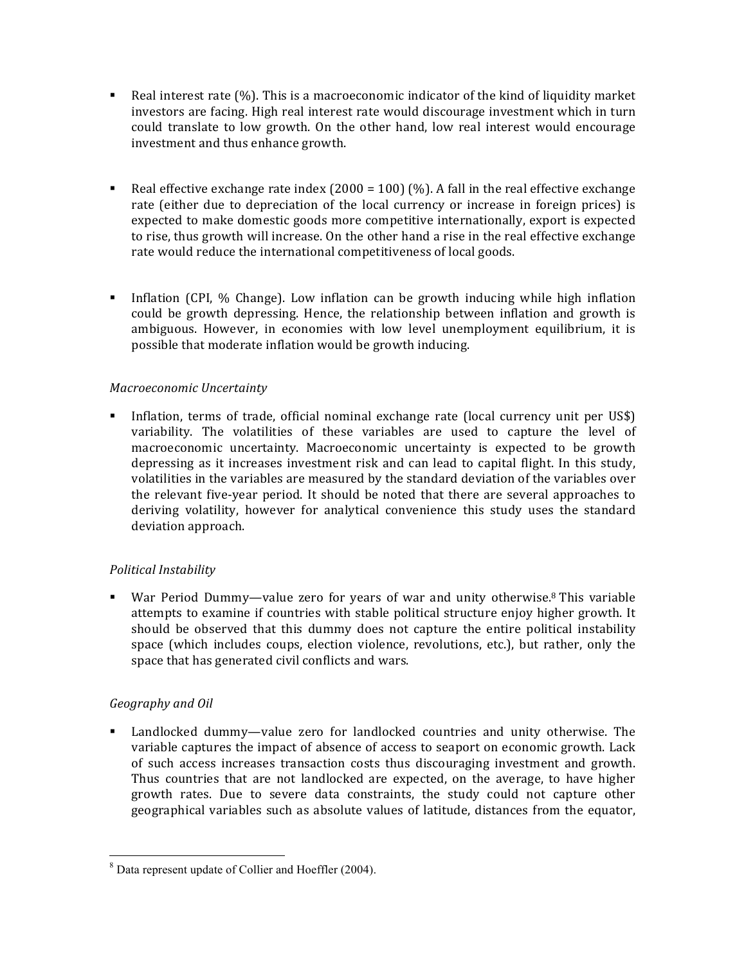- Real interest rate  $(\%)$ . This is a macroeconomic indicator of the kind of liquidity market investors are facing. High real interest rate would discourage investment which in turn could translate to low growth. On the other hand, low real interest would encourage investment and thus enhance growth.
- Example 1 Real effective exchange rate index  $(2000 = 100)$  (%). A fall in the real effective exchange rate (either due to depreciation of the local currency or increase in foreign prices) is expected to make domestic goods more competitive internationally, export is expected to rise, thus growth will increase. On the other hand a rise in the real effective exchange rate would reduce the international competitiveness of local goods.
- Inflation (CPI, % Change). Low inflation can be growth inducing while high inflation could be growth depressing. Hence, the relationship between inflation and growth is ambiguous. However, in economies with low level unemployment equilibrium, it is possible that moderate inflation would be growth inducing.

# *Macroeconomic Uncertainty*

• Inflation, terms of trade, official nominal exchange rate (local currency unit per US\$) variability. The volatilities of these variables are used to capture the level of macroeconomic uncertainty. Macroeconomic uncertainty is expected to be growth depressing as it increases investment risk and can lead to capital flight. In this study, volatilities in the variables are measured by the standard deviation of the variables over the relevant five-year period. It should be noted that there are several approaches to deriving volatility, however for analytical convenience this study uses the standard deviation approach.

# *Political Instability*

■ War Period Dummy—value zero for years of war and unity otherwise.<sup>8</sup> This variable attempts to examine if countries with stable political structure enjoy higher growth. It should be observed that this dummy does not capture the entire political instability space (which includes coups, election violence, revolutions, etc.), but rather, only the space that has generated civil conflicts and wars.

# *Geography and Oil*

• Landlocked dummy—value zero for landlocked countries and unity otherwise. The variable captures the impact of absence of access to seaport on economic growth. Lack of such access increases transaction costs thus discouraging investment and growth. Thus countries that are not landlocked are expected, on the average, to have higher growth rates. Due to severe data constraints, the study could not capture other geographical variables such as absolute values of latitude, distances from the equator,

<sup>&</sup>lt;u> 1989 - Johann Stein, markin film yn y breninn y breninn y breninn y breninn y breninn y breninn y breninn y b</u> <sup>8</sup> Data represent update of Collier and Hoeffler (2004).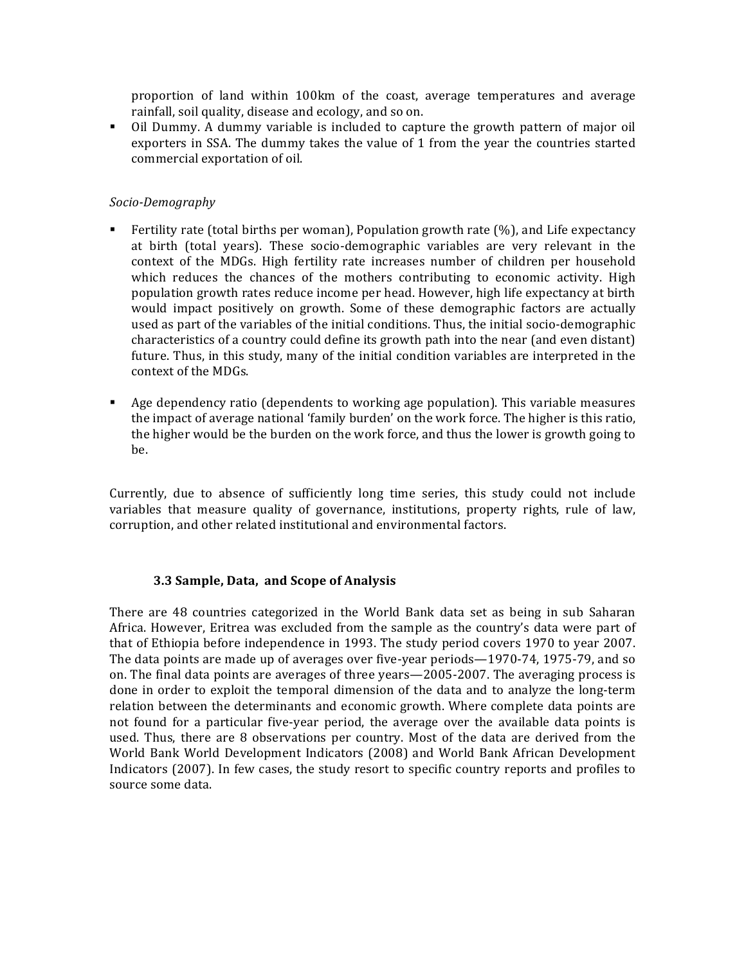proportion of land within 100km of the coast, average temperatures and average rainfall, soil quality, disease and ecology, and so on.

• Oil Dummy. A dummy variable is included to capture the growth pattern of major oil exporters in SSA. The dummy takes the value of 1 from the year the countries started commercial exportation of oil.

## *Socio-Demography*

- Fertility rate (total births per woman), Population growth rate  $(\%)$ , and Life expectancy at birth (total years). These socio-demographic variables are very relevant in the context of the MDGs. High fertility rate increases number of children per household which reduces the chances of the mothers contributing to economic activity. High population growth rates reduce income per head. However, high life expectancy at birth would impact positively on growth. Some of these demographic factors are actually used as part of the variables of the initial conditions. Thus, the initial socio-demographic characteristics of a country could define its growth path into the near (and even distant) future. Thus, in this study, many of the initial condition variables are interpreted in the context of the MDGs.
- Age dependency ratio (dependents to working age population). This variable measures the impact of average national 'family burden' on the work force. The higher is this ratio, the higher would be the burden on the work force, and thus the lower is growth going to be.

Currently, due to absence of sufficiently long time series, this study could not include variables that measure quality of governance, institutions, property rights, rule of law, corruption, and other related institutional and environmental factors.

## **3.3 Sample, Data, and Scope of Analysis**

There are 48 countries categorized in the World Bank data set as being in sub Saharan Africa. However, Eritrea was excluded from the sample as the country's data were part of that of Ethiopia before independence in 1993. The study period covers 1970 to year 2007. The data points are made up of averages over five-year periods—1970-74, 1975-79, and so on. The final data points are averages of three years—2005-2007. The averaging process is done in order to exploit the temporal dimension of the data and to analyze the long-term relation between the determinants and economic growth. Where complete data points are not found for a particular five-year period, the average over the available data points is used. Thus, there are 8 observations per country. Most of the data are derived from the World Bank World Development Indicators (2008) and World Bank African Development Indicators (2007). In few cases, the study resort to specific country reports and profiles to source some data.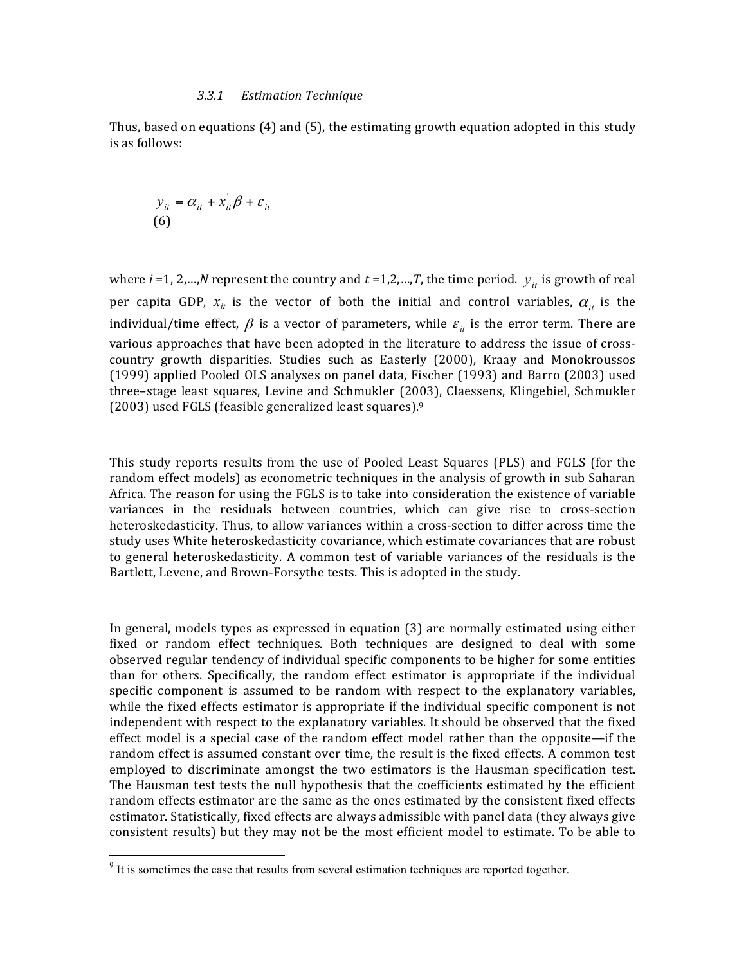#### *3.3.1 Estimation Technique*

Thus, based on equations  $(4)$  and  $(5)$ , the estimating growth equation adopted in this study is as follows:

$$
y_{it} = \alpha_{it} + x_{it}^{\dagger} \beta + \varepsilon_{it}
$$
  
(6)

where *i* =1, 2,…,*N* represent the country and *t* =1,2,…,*T*, the time period.  $y_{it}$  is growth of real per capita GDP,  $x_{it}$  is the vector of both the initial and control variables,  $\alpha_{it}$  is the individual/time effect,  $\beta$  is a vector of parameters, while  $\varepsilon$ <sub>*it*</sub> is the error term. There are various approaches that have been adopted in the literature to address the issue of crosscountry growth disparities. Studies such as Easterly (2000), Kraay and Monokroussos (1999) applied Pooled OLS analyses on panel data, Fischer (1993) and Barro (2003) used three–stage least squares, Levine and Schmukler (2003), Claessens, Klingebiel, Schmukler (2003) used FGLS (feasible generalized least squares). $9$ 

This study reports results from the use of Pooled Least Squares (PLS) and FGLS (for the random effect models) as econometric techniques in the analysis of growth in sub Saharan Africa. The reason for using the FGLS is to take into consideration the existence of variable variances in the residuals between countries, which can give rise to cross-section heteroskedasticity. Thus, to allow variances within a cross-section to differ across time the study uses White heteroskedasticity covariance, which estimate covariances that are robust to general heteroskedasticity. A common test of variable variances of the residuals is the Bartlett, Levene, and Brown-Forsythe tests. This is adopted in the study.

In general, models types as expressed in equation  $(3)$  are normally estimated using either fixed or random effect techniques. Both techniques are designed to deal with some observed regular tendency of individual specific components to be higher for some entities than for others. Specifically, the random effect estimator is appropriate if the individual specific component is assumed to be random with respect to the explanatory variables, while the fixed effects estimator is appropriate if the individual specific component is not independent with respect to the explanatory variables. It should be observed that the fixed effect model is a special case of the random effect model rather than the opposite—if the random effect is assumed constant over time, the result is the fixed effects. A common test employed to discriminate amongst the two estimators is the Hausman specification test. The Hausman test tests the null hypothesis that the coefficients estimated by the efficient random effects estimator are the same as the ones estimated by the consistent fixed effects estimator. Statistically, fixed effects are always admissible with panel data (they always give consistent results) but they may not be the most efficient model to estimate. To be able to

<u> 1989 - Johann Stein, fransk politik (d. 1989)</u>

 $9<sup>9</sup>$  It is sometimes the case that results from several estimation techniques are reported together.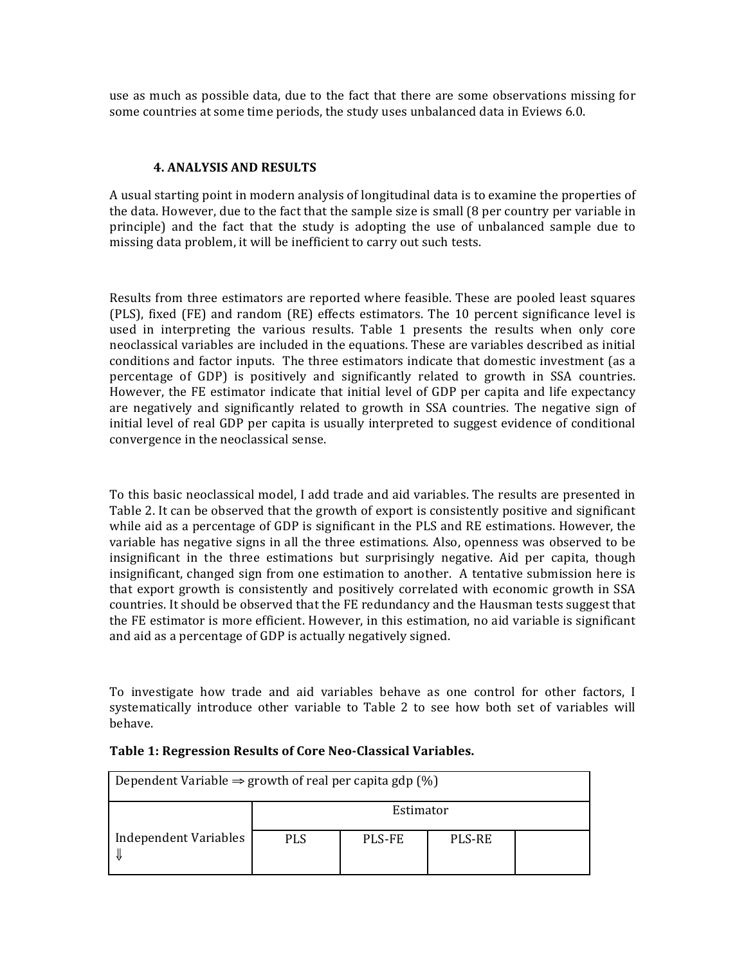use as much as possible data, due to the fact that there are some observations missing for some countries at some time periods, the study uses unbalanced data in Eviews 6.0.

#### **4. ANALYSIS AND RESULTS**

A usual starting point in modern analysis of longitudinal data is to examine the properties of the data. However, due to the fact that the sample size is small  $(8\text{ per country per variable in }$ principle) and the fact that the study is adopting the use of unbalanced sample due to missing data problem, it will be inefficient to carry out such tests.

Results from three estimators are reported where feasible. These are pooled least squares (PLS), fixed (FE) and random (RE) effects estimators. The 10 percent significance level is used in interpreting the various results. Table 1 presents the results when only core neoclassical variables are included in the equations. These are variables described as initial conditions and factor inputs. The three estimators indicate that domestic investment (as a percentage of GDP) is positively and significantly related to growth in SSA countries. However, the FE estimator indicate that initial level of GDP per capita and life expectancy are negatively and significantly related to growth in SSA countries. The negative sign of initial level of real GDP per capita is usually interpreted to suggest evidence of conditional convergence in the neoclassical sense.

To this basic neoclassical model, I add trade and aid variables. The results are presented in Table 2. It can be observed that the growth of export is consistently positive and significant while aid as a percentage of GDP is significant in the PLS and RE estimations. However, the variable has negative signs in all the three estimations. Also, openness was observed to be insignificant in the three estimations but surprisingly negative. Aid per capita, though insignificant, changed sign from one estimation to another. A tentative submission here is that export growth is consistently and positively correlated with economic growth in SSA countries. It should be observed that the FE redundancy and the Hausman tests suggest that the FE estimator is more efficient. However, in this estimation, no aid variable is significant and aid as a percentage of GDP is actually negatively signed.

To investigate how trade and aid variables behave as one control for other factors, I systematically introduce other variable to Table 2 to see how both set of variables will behave. 

| Dependent Variable $\Rightarrow$ growth of real per capita gdp (%) |            |               |               |  |  |
|--------------------------------------------------------------------|------------|---------------|---------------|--|--|
|                                                                    | Estimator  |               |               |  |  |
| Independent Variables                                              | <b>PLS</b> | <b>PLS-FE</b> | <b>PLS-RE</b> |  |  |

#### **Table 1: Regression Results of Core Neo-Classical Variables.**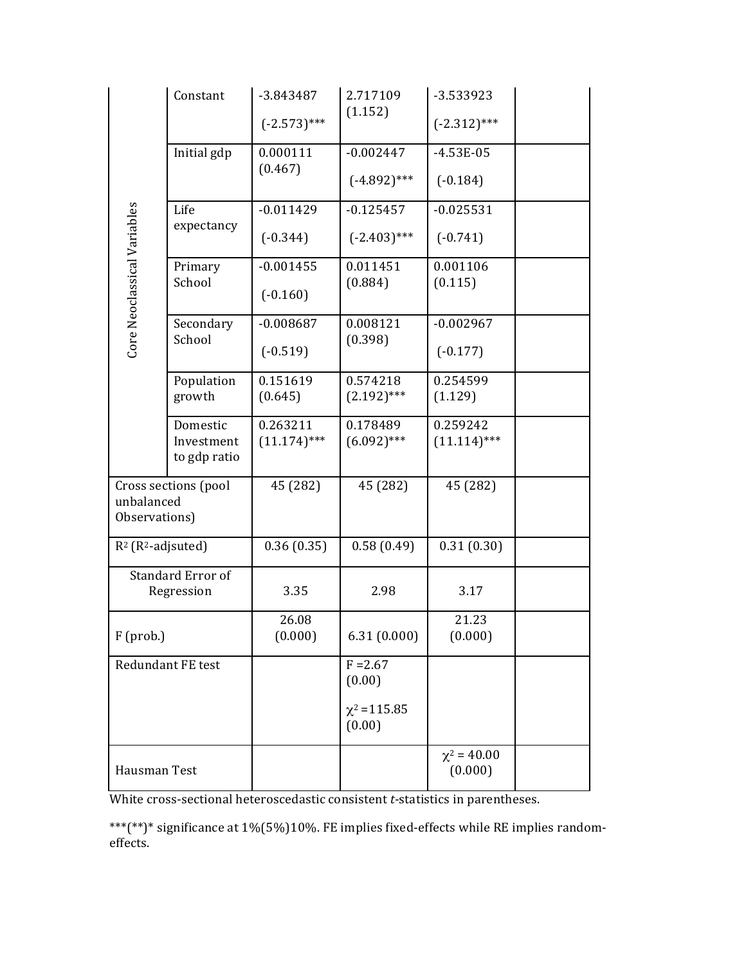|                                  | Constant                               | -3.843487                  | 2.717109                  | -3.533923                   |  |
|----------------------------------|----------------------------------------|----------------------------|---------------------------|-----------------------------|--|
|                                  |                                        | $(-2.573)$ ***             | (1.152)                   | $(-2.312)$ ***              |  |
|                                  | Initial gdp                            | 0.000111                   | $-0.002447$               | $-4.53E-05$                 |  |
|                                  |                                        | (0.467)                    | $(-4.892)$ ***            | $(-0.184)$                  |  |
|                                  | Life                                   | $-0.011429$                | $-0.125457$               | $-0.025531$                 |  |
|                                  | expectancy                             | $(-0.344)$                 | $(-2.403)$ ***            | $(-0.741)$                  |  |
|                                  | Primary                                | $-0.001455$                | 0.011451                  | 0.001106                    |  |
| Core Neoclassical Variables      | School                                 | $(-0.160)$                 | (0.884)                   | (0.115)                     |  |
|                                  | Secondary<br>School                    | $-0.008687$                | 0.008121                  | $-0.002967$                 |  |
|                                  |                                        | $(-0.519)$                 | (0.398)                   | $(-0.177)$                  |  |
|                                  | Population                             | 0.151619                   | 0.574218<br>$(2.192)$ *** | 0.254599                    |  |
|                                  | growth                                 | (0.645)                    |                           | (1.129)                     |  |
|                                  | Domestic<br>Investment                 | 0.263211<br>$(11.174)$ *** | 0.178489<br>$(6.092)***$  | 0.259242<br>$(11.114)$ ***  |  |
|                                  | to gdp ratio                           |                            |                           |                             |  |
| unbalanced                       | Cross sections (pool                   | 45 (282)                   | 45 (282)                  | 45 (282)                    |  |
| Observations)                    |                                        |                            |                           |                             |  |
| $R^2$ (R <sup>2</sup> -adjsuted) |                                        | 0.36(0.35)                 | 0.58(0.49)                | 0.31(0.30)                  |  |
|                                  | <b>Standard Error of</b><br>Regression | 3.35                       | 2.98                      | 3.17                        |  |
|                                  |                                        |                            |                           |                             |  |
| $F$ (prob.)                      |                                        | 26.08<br>(0.000)           | 6.31(0.000)               | 21.23<br>(0.000)            |  |
| Redundant FE test                |                                        |                            | $F = 2.67$<br>(0.00)      |                             |  |
|                                  |                                        |                            | $\chi^2$ = 115.85         |                             |  |
|                                  |                                        |                            | (0.00)                    |                             |  |
| Hausman Test                     |                                        |                            |                           | $\chi^2 = 40.00$<br>(0.000) |  |
|                                  |                                        |                            |                           |                             |  |

White cross-sectional heteroscedastic consistent *t*-statistics in parentheses.

\*\*\*(\*\*)\* significance at 1%(5%)10%. FE implies fixed-effects while RE implies randomeffects.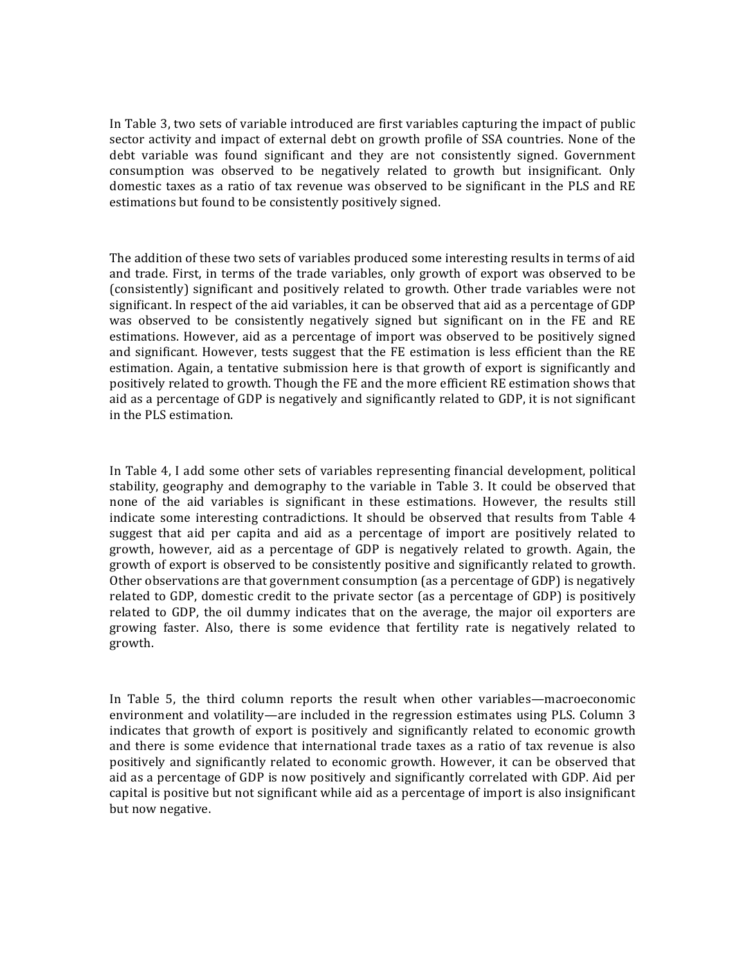In Table 3, two sets of variable introduced are first variables capturing the impact of public sector activity and impact of external debt on growth profile of SSA countries. None of the debt variable was found significant and they are not consistently signed. Government consumption was observed to be negatively related to growth but insignificant. Only domestic taxes as a ratio of tax revenue was observed to be significant in the PLS and RE estimations but found to be consistently positively signed.

The addition of these two sets of variables produced some interesting results in terms of aid and trade. First, in terms of the trade variables, only growth of export was observed to be (consistently) significant and positively related to growth. Other trade variables were not significant. In respect of the aid variables, it can be observed that aid as a percentage of GDP was observed to be consistently negatively signed but significant on in the FE and RE estimations. However, aid as a percentage of import was observed to be positively signed and significant. However, tests suggest that the FE estimation is less efficient than the RE estimation. Again, a tentative submission here is that growth of export is significantly and positively related to growth. Though the FE and the more efficient RE estimation shows that aid as a percentage of GDP is negatively and significantly related to GDP, it is not significant in the PLS estimation.

In Table 4, I add some other sets of variables representing financial development, political stability, geography and demography to the variable in Table 3. It could be observed that none of the aid variables is significant in these estimations. However, the results still indicate some interesting contradictions. It should be observed that results from Table 4 suggest that aid per capita and aid as a percentage of import are positively related to growth, however, aid as a percentage of GDP is negatively related to growth. Again, the growth of export is observed to be consistently positive and significantly related to growth. Other observations are that government consumption (as a percentage of GDP) is negatively related to GDP, domestic credit to the private sector (as a percentage of GDP) is positively related to GDP, the oil dummy indicates that on the average, the major oil exporters are growing faster. Also, there is some evidence that fertility rate is negatively related to growth. 

In Table 5, the third column reports the result when other variables—macroeconomic environment and volatility—are included in the regression estimates using PLS. Column 3 indicates that growth of export is positively and significantly related to economic growth and there is some evidence that international trade taxes as a ratio of tax revenue is also positively and significantly related to economic growth. However, it can be observed that aid as a percentage of GDP is now positively and significantly correlated with GDP. Aid per capital is positive but not significant while aid as a percentage of import is also insignificant but now negative.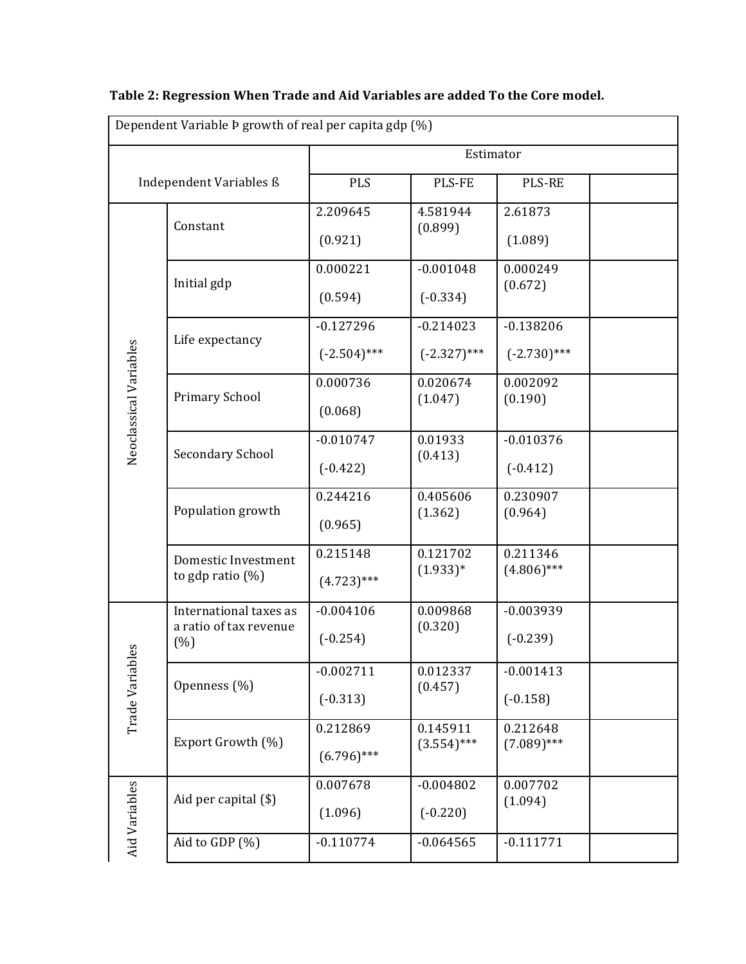|                        | Dependent Variable Þ growth of real per capita gdp (%)   |                               |                               |                               |  |
|------------------------|----------------------------------------------------------|-------------------------------|-------------------------------|-------------------------------|--|
|                        |                                                          |                               |                               | Estimator                     |  |
|                        | Independent Variables ß                                  | <b>PLS</b>                    | PLS-FE                        | <b>PLS-RE</b>                 |  |
|                        | Constant                                                 | 2.209645<br>(0.921)           | 4.581944<br>(0.899)           | 2.61873<br>(1.089)            |  |
|                        | Initial gdp                                              | 0.000221<br>(0.594)           | $-0.001048$<br>$(-0.334)$     | 0.000249<br>(0.672)           |  |
|                        | Life expectancy                                          | $-0.127296$<br>$(-2.504)$ *** | $-0.214023$<br>$(-2.327)$ *** | $-0.138206$<br>$(-2.730)$ *** |  |
| Neoclassical Variables | Primary School                                           | 0.000736<br>(0.068)           | 0.020674<br>(1.047)           | 0.002092<br>(0.190)           |  |
|                        | <b>Secondary School</b>                                  | $-0.010747$<br>$(-0.422)$     | 0.01933<br>(0.413)            | $-0.010376$<br>$(-0.412)$     |  |
|                        | Population growth                                        | 0.244216<br>(0.965)           | 0.405606<br>(1.362)           | 0.230907<br>(0.964)           |  |
|                        | Domestic Investment<br>to gdp ratio $(\%)$               | 0.215148<br>$(4.723)$ ***     | 0.121702<br>$(1.933)*$        | 0.211346<br>$(4.806)$ ***     |  |
| 6S                     | International taxes as<br>a ratio of tax revenue<br>(% ) | $-0.004106$<br>$(-0.254)$     | 0.009868<br>(0.320)           | $-0.003939$<br>$(-0.239)$     |  |
| Trade Variab           | Openness (%)                                             | $-0.002711$<br>$(-0.313)$     | 0.012337<br>(0.457)           | $-0.001413$<br>$(-0.158)$     |  |
|                        | Export Growth (%)                                        | 0.212869<br>$(6.796)$ ***     | 0.145911<br>$(3.554)$ ***     | 0.212648<br>$(7.089)$ ***     |  |
| Aid Variables          | Aid per capital (\$)                                     | 0.007678<br>(1.096)           | $-0.004802$<br>$(-0.220)$     | 0.007702<br>(1.094)           |  |
|                        | Aid to GDP (%)                                           | $-0.110774$                   | $-0.064565$                   | $-0.111771$                   |  |

# Table 2: Regression When Trade and Aid Variables are added To the Core model.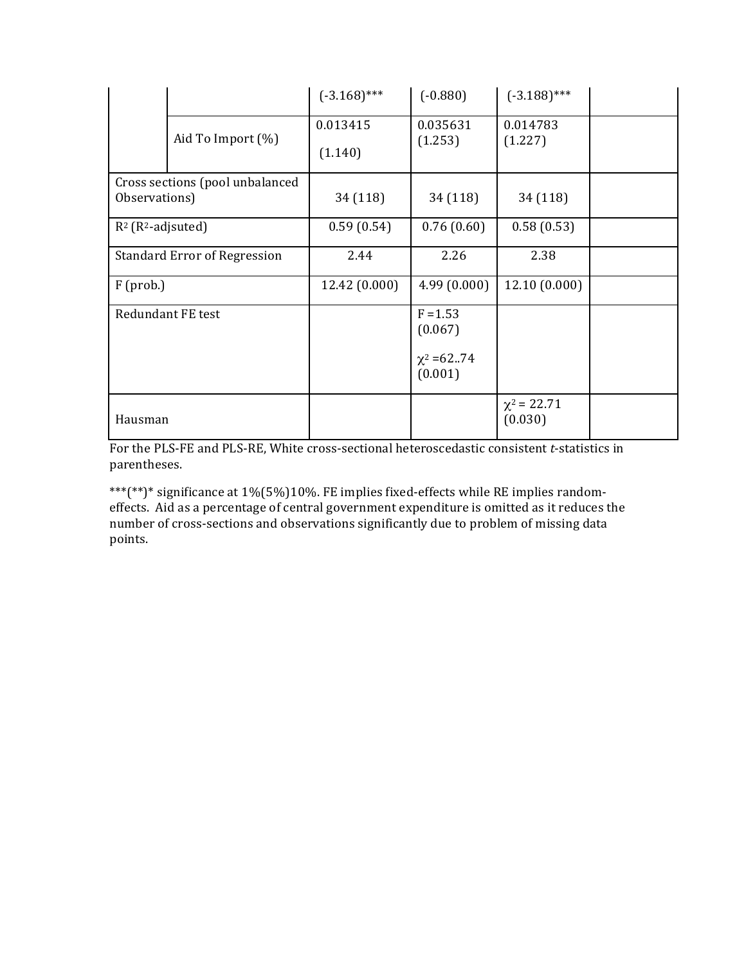|                                                  |                          | $(-3.168)$ ***      | $(-0.880)$                                         | $(-3.188)$ ***              |  |
|--------------------------------------------------|--------------------------|---------------------|----------------------------------------------------|-----------------------------|--|
|                                                  | Aid To Import $(\%)$     | 0.013415<br>(1.140) | 0.035631<br>(1.253)                                | 0.014783<br>(1.227)         |  |
| Cross sections (pool unbalanced<br>Observations) |                          | 34 (118)            | 34 (118)                                           | 34 (118)                    |  |
| $R^2$ ( $R^2$ -adjsuted)                         |                          | 0.59(0.54)          | 0.76(0.60)                                         | 0.58(0.53)                  |  |
| <b>Standard Error of Regression</b>              |                          | 2.44                | 2.26                                               | 2.38                        |  |
| $F$ (prob.)                                      |                          | 12.42 (0.000)       | 4.99(0.000)                                        | 12.10(0.000)                |  |
|                                                  | <b>Redundant FE test</b> |                     | $F = 1.53$<br>(0.067)<br>$\chi^2$ =6274<br>(0.001) |                             |  |
| Hausman                                          |                          |                     |                                                    | $\chi^2$ = 22.71<br>(0.030) |  |

For the PLS-FE and PLS-RE, White cross-sectional heteroscedastic consistent *t*-statistics in parentheses. 

\*\*\*(\*\*)\* significance at 1%(5%)10%. FE implies fixed-effects while RE implies randomeffects. Aid as a percentage of central government expenditure is omitted as it reduces the number of cross-sections and observations significantly due to problem of missing data points.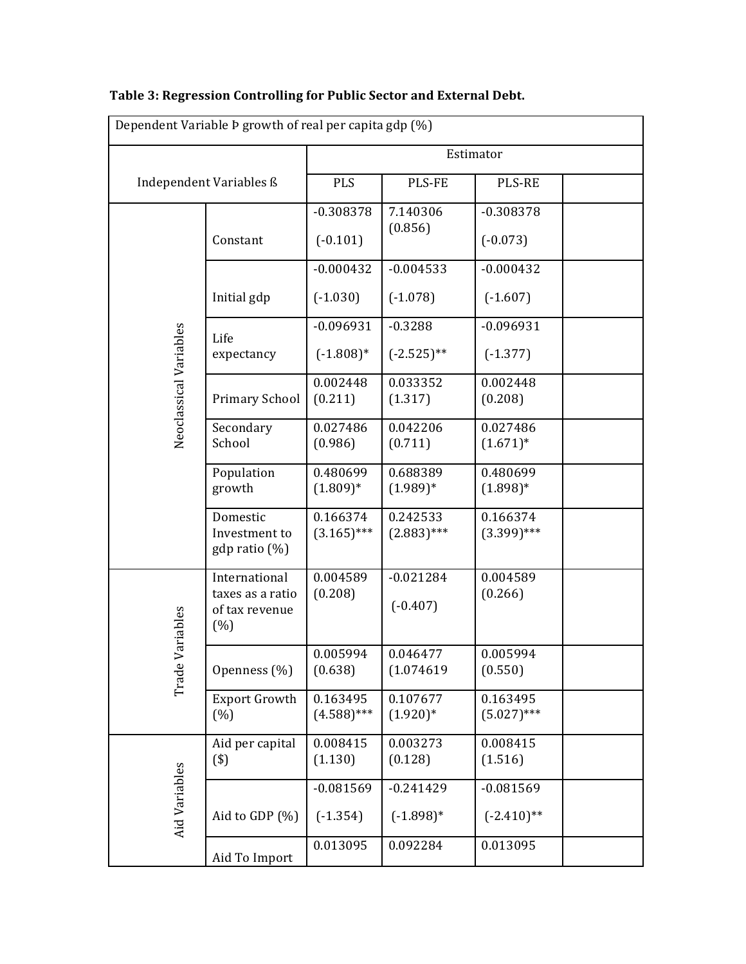|                        | Dependent Variable Þ growth of real per capita gdp (%)      |                           |                           |                           |  |
|------------------------|-------------------------------------------------------------|---------------------------|---------------------------|---------------------------|--|
|                        |                                                             | Estimator                 |                           |                           |  |
|                        | Independent Variables ß                                     | <b>PLS</b>                | PLS-FE                    | <b>PLS-RE</b>             |  |
|                        |                                                             | $-0.308378$               | 7.140306                  | $-0.308378$               |  |
|                        | Constant                                                    | $(-0.101)$                | (0.856)                   | $(-0.073)$                |  |
|                        |                                                             | $-0.000432$               | $-0.004533$               | $-0.000432$               |  |
|                        | Initial gdp                                                 | $(-1.030)$                | $(-1.078)$                | $(-1.607)$                |  |
|                        | Life                                                        | $-0.096931$               | $-0.3288$                 | $-0.096931$               |  |
| Neoclassical Variables | expectancy                                                  | $(-1.808)*$               | $(-2.525)$ **             | $(-1.377)$                |  |
|                        | Primary School                                              | 0.002448<br>(0.211)       | 0.033352<br>(1.317)       | 0.002448<br>(0.208)       |  |
|                        |                                                             |                           |                           |                           |  |
|                        | Secondary<br>School                                         | 0.027486<br>(0.986)       | 0.042206<br>(0.711)       | 0.027486<br>$(1.671)^*$   |  |
|                        | Population<br>growth                                        | 0.480699<br>$(1.809)*$    | 0.688389<br>$(1.989)*$    | 0.480699<br>$(1.898)*$    |  |
|                        | Domestic<br>Investment to<br>$gdp$ ratio $(\%)$             | 0.166374<br>$(3.165)$ *** | 0.242533<br>$(2.883)$ *** | 0.166374<br>$(3.399)$ *** |  |
| Variables              | International<br>taxes as a ratio<br>of tax revenue<br>(% ) | 0.004589<br>(0.208)       | $-0.021284$<br>$(-0.407)$ | 0.004589<br>(0.266)       |  |
| Trade                  | Openness (%)                                                | 0.005994<br>(0.638)       | 0.046477<br>(1.074619     | 0.005994<br>(0.550)       |  |
|                        | <b>Export Growth</b><br>(% )                                | 0.163495<br>$(4.588)$ *** | 0.107677<br>$(1.920)*$    | 0.163495<br>$(5.027)$ *** |  |
|                        | Aid per capital<br>$($ \$)                                  | 0.008415<br>(1.130)       | 0.003273<br>(0.128)       | 0.008415<br>(1.516)       |  |
|                        |                                                             | $-0.081569$               | $-0.241429$               | $-0.081569$               |  |
| Aid Variables          | Aid to GDP (%)                                              | $(-1.354)$                | $(-1.898)*$               | $(-2.410)$ **             |  |
|                        | Aid To Import                                               | 0.013095                  | 0.092284                  | 0.013095                  |  |

# Table 3: Regression Controlling for Public Sector and External Debt.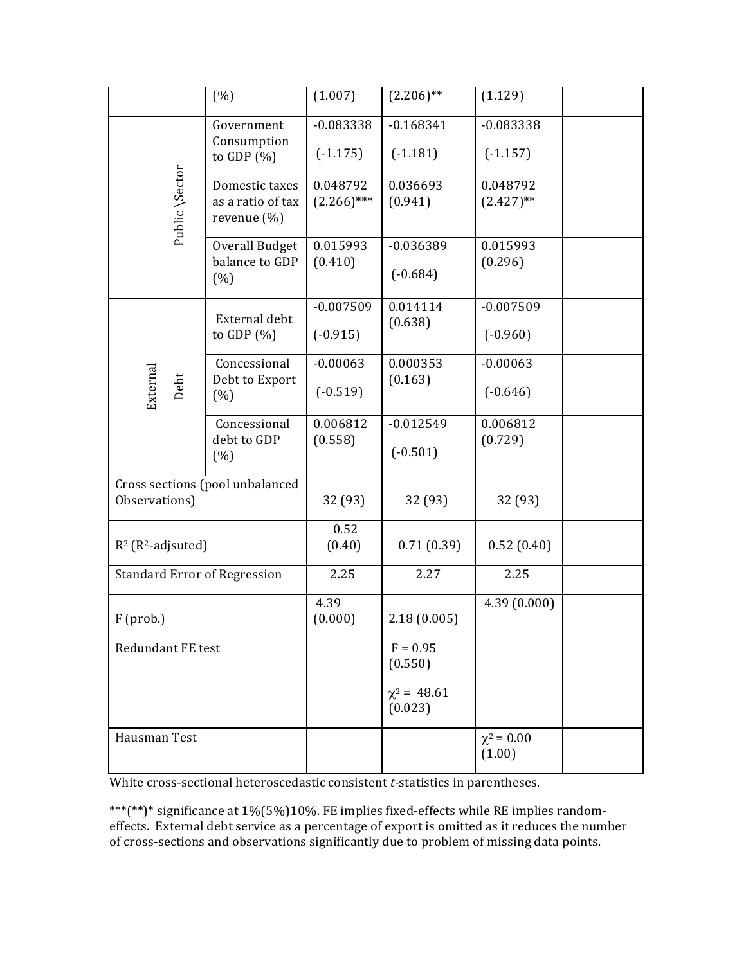|                                     | (%)                                                   | (1.007)                   | $(2.206)$ **                | (1.129)                   |  |
|-------------------------------------|-------------------------------------------------------|---------------------------|-----------------------------|---------------------------|--|
|                                     | Government                                            | $-0.083338$               | $-0.168341$                 | $-0.083338$               |  |
|                                     | Consumption<br>to GDP $(\%)$                          | $(-1.175)$                | $(-1.181)$                  | $(-1.157)$                |  |
| Public \Sector                      | Domestic taxes<br>as a ratio of tax<br>revenue $(\%)$ | 0.048792<br>$(2.266)$ *** | 0.036693<br>(0.941)         | 0.048792<br>$(2.427)$ **  |  |
|                                     | Overall Budget<br>balance to GDP<br>(%)               | 0.015993<br>(0.410)       | $-0.036389$<br>$(-0.684)$   | 0.015993<br>(0.296)       |  |
|                                     | External debt                                         | $-0.007509$               | 0.014114                    | $-0.007509$               |  |
|                                     | to GDP $(\%)$                                         | $(-0.915)$                | (0.638)                     | $(-0.960)$                |  |
|                                     | Concessional<br>Debt to Export                        | $-0.00063$                | 0.000353<br>(0.163)         | $-0.00063$                |  |
| External<br>Debt                    | (% )                                                  | $(-0.519)$                |                             | $(-0.646)$                |  |
|                                     | Concessional<br>debt to GDP                           | 0.006812<br>(0.558)       | $-0.012549$                 | 0.006812<br>(0.729)       |  |
|                                     | (% )                                                  |                           | $(-0.501)$                  |                           |  |
|                                     | Cross sections (pool unbalanced                       |                           |                             |                           |  |
| Observations)                       |                                                       | 32 (93)                   | 32 (93)                     | 32 (93)                   |  |
| $R^2$ ( $R^2$ -adjsuted)            |                                                       | 0.52<br>(0.40)            | 0.71(0.39)                  | 0.52(0.40)                |  |
| <b>Standard Error of Regression</b> |                                                       | 2.25                      | 2.27                        | 2.25                      |  |
| $F$ (prob.)                         |                                                       | 4.39<br>(0.000)           | 2.18(0.005)                 | 4.39(0.000)               |  |
| <b>Redundant FE test</b>            |                                                       |                           | $F = 0.95$<br>(0.550)       |                           |  |
|                                     |                                                       |                           | $\chi^2$ = 48.61<br>(0.023) |                           |  |
| Hausman Test                        |                                                       |                           |                             | $\chi^2 = 0.00$<br>(1.00) |  |

White cross-sectional heteroscedastic consistent *t*-statistics in parentheses.

\*\*\*(\*\*)\* significance at 1%(5%)10%. FE implies fixed-effects while RE implies randomeffects. External debt service as a percentage of export is omitted as it reduces the number of cross-sections and observations significantly due to problem of missing data points.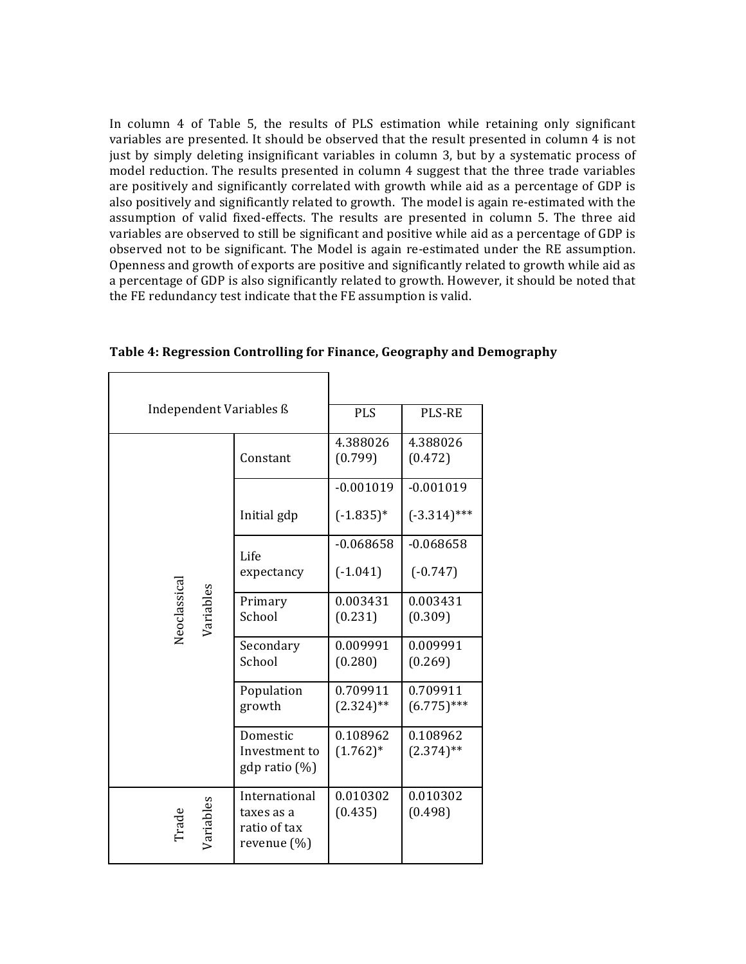In column 4 of Table 5, the results of PLS estimation while retaining only significant variables are presented. It should be observed that the result presented in column 4 is not just by simply deleting insignificant variables in column 3, but by a systematic process of model reduction. The results presented in column 4 suggest that the three trade variables are positively and significantly correlated with growth while aid as a percentage of GDP is also positively and significantly related to growth. The model is again re-estimated with the assumption of valid fixed-effects. The results are presented in column 5. The three aid variables are observed to still be significant and positive while aid as a percentage of GDP is observed not to be significant. The Model is again re-estimated under the RE assumption. Openness and growth of exports are positive and significantly related to growth while aid as a percentage of GDP is also significantly related to growth. However, it should be noted that the FE redundancy test indicate that the FE assumption is valid.

| Independent Variables ß   | <b>PLS</b>                                                 | <b>PLS-RE</b>            |                           |
|---------------------------|------------------------------------------------------------|--------------------------|---------------------------|
|                           | Constant                                                   | 4.388026<br>(0.799)      | 4.388026<br>(0.472)       |
|                           |                                                            | $-0.001019$              | $-0.001019$               |
|                           | Initial gdp                                                | $(-1.835)*$              | $(-3.314)$ ***            |
|                           | Life                                                       | $-0.068658$              | $-0.068658$               |
|                           | expectancy                                                 | $(-1.041)$               | $(-0.747)$                |
| Neoclassical<br>Variables | Primary<br>School                                          | 0.003431<br>(0.231)      | 0.003431<br>(0.309)       |
|                           | Secondary<br>School                                        | 0.009991<br>(0.280)      | 0.009991<br>(0.269)       |
|                           | Population<br>growth                                       | 0.709911<br>$(2.324)$ ** | 0.709911<br>$(6.775)$ *** |
|                           | Domestic<br>Investment to<br>$gdp$ ratio $(\%)$            | 0.108962<br>$(1.762)*$   | 0.108962<br>$(2.374)$ **  |
| Variables<br>Trade        | International<br>taxes as a<br>ratio of tax<br>revenue (%) | 0.010302<br>(0.435)      | 0.010302<br>(0.498)       |

Table 4: Regression Controlling for Finance, Geography and Demography

 $\Gamma$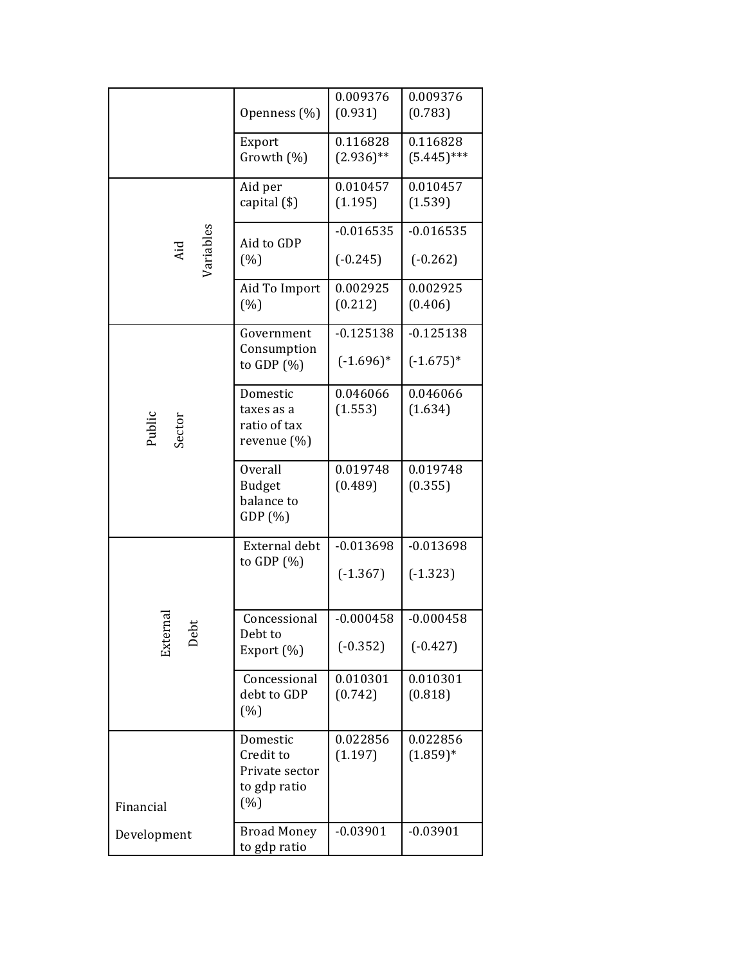|                  |                              | 0.009376            | 0.009376               |
|------------------|------------------------------|---------------------|------------------------|
|                  | Openness (%)                 | (0.931)             | (0.783)                |
|                  | Export                       | 0.116828            | 0.116828               |
|                  | Growth (%)                   | $(2.936)$ **        | $(5.445)$ ***          |
|                  |                              |                     |                        |
|                  | Aid per                      | 0.010457            | 0.010457               |
|                  | capital $($ \$)              | (1.195)             | (1.539)                |
|                  |                              | $-0.016535$         | $-0.016535$            |
| Aid              | Aid to GDP                   |                     |                        |
| Variables        | (%)                          | $(-0.245)$          | $(-0.262)$             |
|                  | Aid To Import                | 0.002925            | 0.002925               |
|                  | (%)                          | (0.212)             | (0.406)                |
|                  |                              |                     |                        |
|                  | Government                   | $-0.125138$         | $-0.125138$            |
|                  | Consumption<br>to GDP $(\%)$ | $(-1.696)*$         | $(-1.675)*$            |
|                  |                              |                     |                        |
|                  | Domestic                     | 0.046066            | 0.046066               |
|                  | taxes as a                   | (1.553)             | (1.634)                |
| Public<br>Sector | ratio of tax                 |                     |                        |
|                  | revenue $(\%)$               |                     |                        |
|                  | <b>Overall</b>               | 0.019748            | 0.019748               |
|                  | <b>Budget</b>                | (0.489)             | (0.355)                |
|                  | balance to                   |                     |                        |
|                  | GDP(%)                       |                     |                        |
|                  |                              |                     |                        |
|                  | External debt                | $-0.013698$         | $-0.013698$            |
|                  | to GDP $(\%)$                | $(-1.367)$          | $(-1.323)$             |
|                  |                              |                     |                        |
| 'na              | Concessional                 | $-0.000458$         | $-0.000458$            |
| ەَ               | Debt to                      |                     |                        |
|                  | Export (%)                   | $(-0.352)$          | $(-0.427)$             |
|                  | Concessional                 | 0.010301            | 0.010301               |
|                  | debt to GDP                  | (0.742)             | (0.818)                |
|                  | (%)                          |                     |                        |
|                  |                              |                     |                        |
|                  | Domestic<br>Credit to        | 0.022856<br>(1.197) | 0.022856<br>$(1.859)*$ |
|                  | Private sector               |                     |                        |
|                  | to gdp ratio                 |                     |                        |
| Financial        | (%)                          |                     |                        |
|                  |                              |                     |                        |
| Development      | <b>Broad Money</b>           | $-0.03901$          | $-0.03901$             |
|                  | to gdp ratio                 |                     |                        |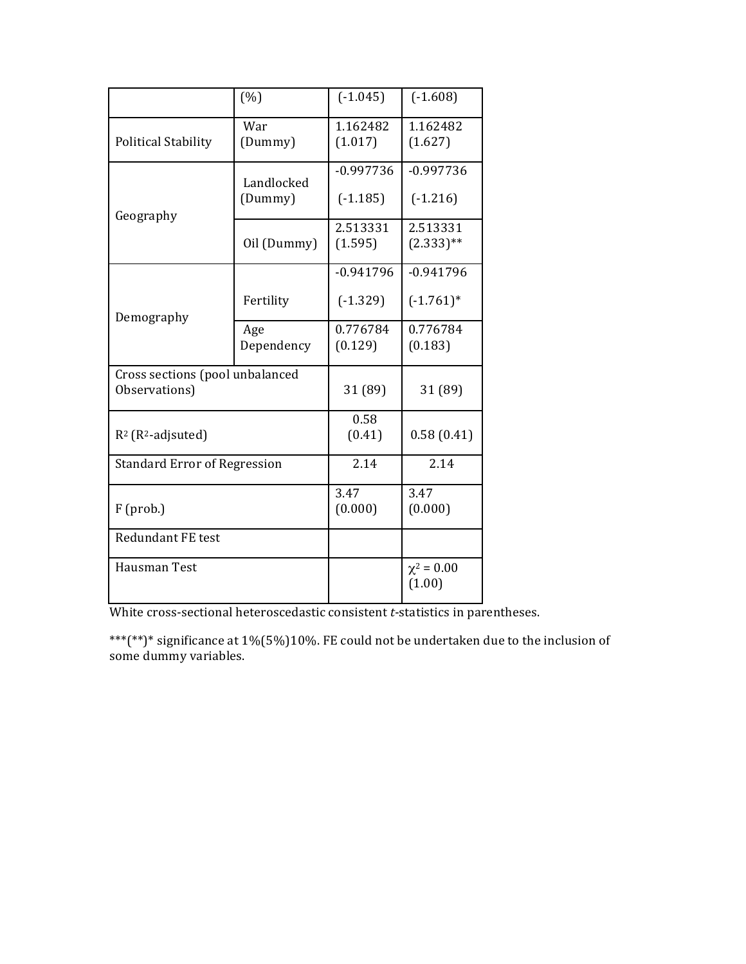|                                                  | (%)                   | $(-1.045)$                | $(-1.608)$                |
|--------------------------------------------------|-----------------------|---------------------------|---------------------------|
| <b>Political Stability</b>                       | War<br>(Dummy)        | 1.162482<br>(1.017)       | 1.162482<br>(1.627)       |
| Geography                                        | Landlocked<br>(Dummy) | $-0.997736$<br>$(-1.185)$ | $-0.997736$<br>$(-1.216)$ |
|                                                  | Oil (Dummy)           | 2.513331<br>(1.595)       | 2.513331<br>$(2.333)$ **  |
|                                                  |                       | $-0.941796$               | $-0.941796$               |
| Demography                                       | Fertility             | $(-1.329)$                | $(-1.761)^*$              |
|                                                  | Age<br>Dependency     | 0.776784<br>(0.129)       | 0.776784<br>(0.183)       |
| Cross sections (pool unbalanced<br>Observations) |                       | 31 (89)                   | 31 (89)                   |
| $R^2$ ( $R^2$ -adjsuted)                         |                       | 0.58<br>(0.41)            | 0.58(0.41)                |
| <b>Standard Error of Regression</b>              |                       | 2.14                      | 2.14                      |
| $F$ (prob.)                                      | 3.47<br>(0.000)       | 3.47<br>(0.000)           |                           |
| <b>Redundant FE test</b>                         |                       |                           |                           |
| Hausman Test                                     |                       | $\chi^2 = 0.00$<br>(1.00) |                           |

White cross-sectional heteroscedastic consistent *t*-statistics in parentheses.

\*\*\*(\*\*)\* significance at  $1\%(5\%)10\%$ . FE could not be undertaken due to the inclusion of some dummy variables.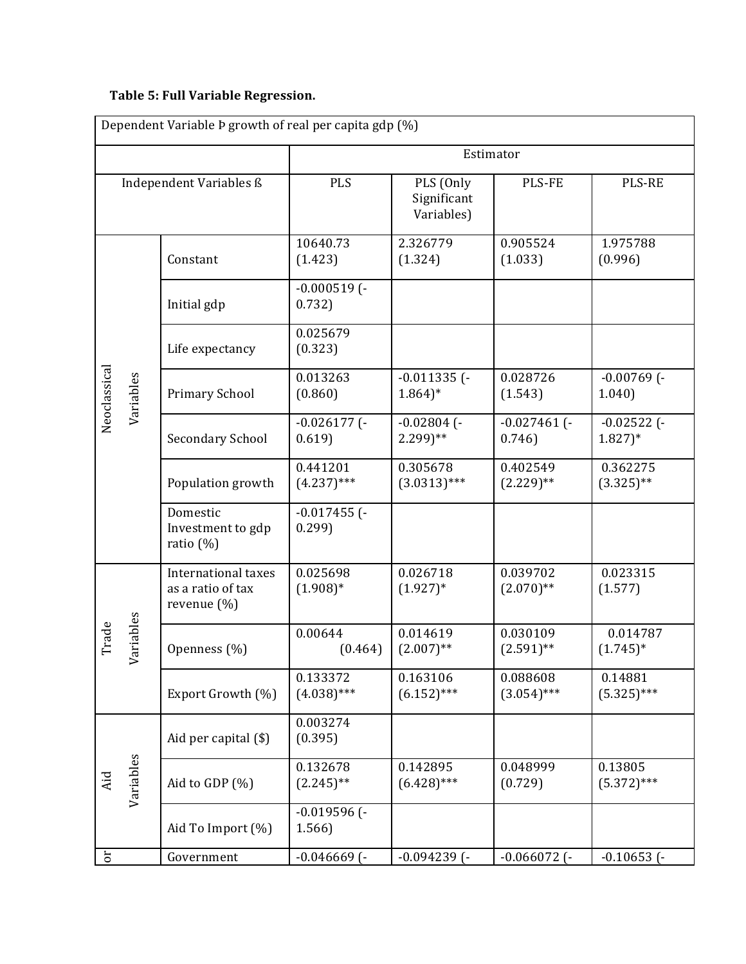# **Table 5: Full Variable Regression.**

| Dependent Variable Þ growth of real per capita gdp (%) |                  |                                                         |                           |                                        |                           |                                       |
|--------------------------------------------------------|------------------|---------------------------------------------------------|---------------------------|----------------------------------------|---------------------------|---------------------------------------|
|                                                        |                  |                                                         |                           |                                        | Estimator                 |                                       |
|                                                        |                  | Independent Variables ß                                 | <b>PLS</b>                | PLS (Only<br>Significant<br>Variables) | PLS-FE                    | <b>PLS-RE</b>                         |
|                                                        |                  | Constant                                                | 10640.73<br>(1.423)       | 2.326779<br>(1.324)                    | 0.905524<br>(1.033)       | 1.975788<br>(0.996)                   |
|                                                        |                  | Initial gdp                                             | $-0.000519$ (-<br>0.732)  |                                        |                           |                                       |
|                                                        |                  | Life expectancy                                         | 0.025679<br>(0.323)       |                                        |                           |                                       |
| Neoclassical                                           | Variables        | Primary School                                          | 0.013263<br>(0.860)       | $-0.011335$ (-<br>$1.864$ <sup>*</sup> | 0.028726<br>(1.543)       | $-0.00769$ (-<br>1.040                |
|                                                        |                  | <b>Secondary School</b>                                 | $-0.026177$ (-<br>0.619   | $-0.02804$ (-<br>$2.299$ <sup>**</sup> | $-0.027461$ (-<br>0.746   | $-0.02522$ (-<br>$1.827$ <sup>*</sup> |
|                                                        |                  | Population growth                                       | 0.441201<br>$(4.237)$ *** | 0.305678<br>$(3.0313)$ ***             | 0.402549<br>$(2.229)$ **  | 0.362275<br>$(3.325)$ **              |
|                                                        |                  | Domestic<br>Investment to gdp<br>ratio $(\%)$           | $-0.017455$ (-<br>0.299   |                                        |                           |                                       |
|                                                        |                  | International taxes<br>as a ratio of tax<br>revenue (%) | 0.025698<br>$(1.908)*$    | 0.026718<br>$(1.927)^*$                | 0.039702<br>$(2.070)$ **  | 0.023315<br>(1.577)                   |
| Trade                                                  | ariables<br>∽    | Openness (%)                                            | 0.00644<br>(0.464)        | 0.014619<br>$(2.007)$ **               | 0.030109<br>$(2.591)$ **  | 0.014787<br>$(1.745)^*$               |
|                                                        |                  | Export Growth (%)                                       | 0.133372<br>$(4.038)$ *** | 0.163106<br>$(6.152)$ ***              | 0.088608<br>$(3.054)$ *** | 0.14881<br>$(5.325)***$               |
|                                                        | Variables<br>Aid | Aid per capital (\$)                                    | 0.003274<br>(0.395)       |                                        |                           |                                       |
|                                                        |                  | Aid to GDP (%)                                          | 0.132678<br>$(2.245)$ **  | 0.142895<br>$(6.428)$ ***              | 0.048999<br>(0.729)       | 0.13805<br>$(5.372)$ ***              |
|                                                        |                  | Aid To Import (%)                                       | $-0.019596$ (-<br>1.566   |                                        |                           |                                       |
| $\mathfrak{c}$                                         |                  | Government                                              | $-0.046669$ ( $-$         | $-0.094239$ (-                         | $-0.066072$ ( $-$         | $-0.10653$ ( $-$                      |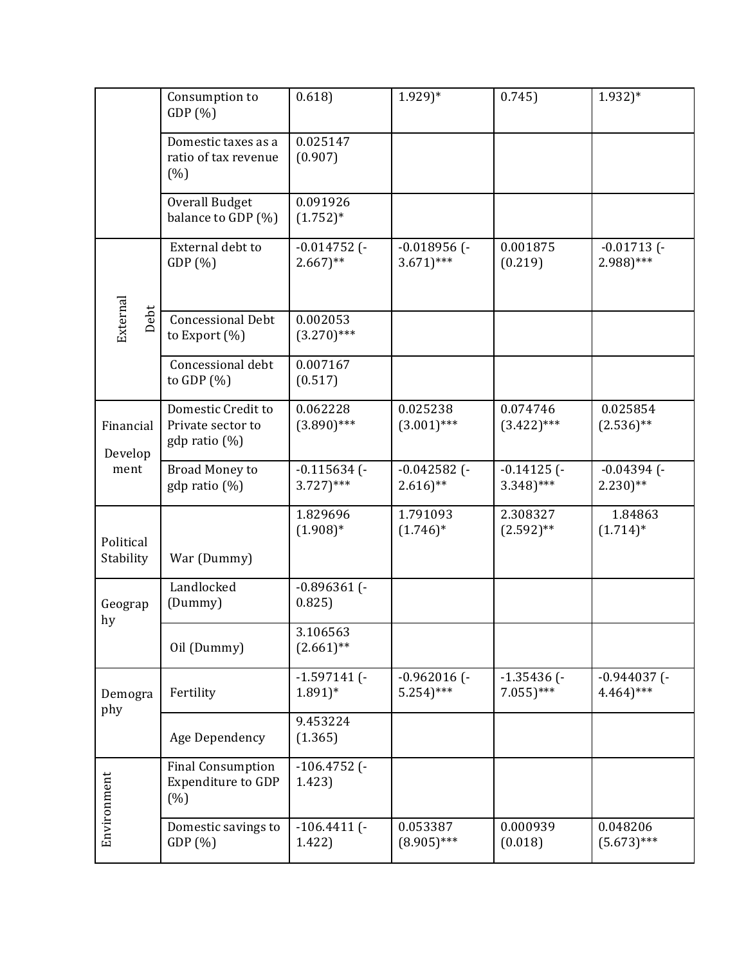|                        | Consumption to<br>GDP(%)                                      | 0.618                                       | $1.929)*$                                | 0.745                            | $1.932)*$                                 |
|------------------------|---------------------------------------------------------------|---------------------------------------------|------------------------------------------|----------------------------------|-------------------------------------------|
|                        | Domestic taxes as a<br>ratio of tax revenue<br>(% )           | 0.025147<br>(0.907)                         |                                          |                                  |                                           |
|                        | <b>Overall Budget</b><br>balance to GDP (%)                   | 0.091926<br>$(1.752)*$                      |                                          |                                  |                                           |
|                        | External debt to<br>GDP(%)                                    | $-0.014752$ (-<br>$2.667$ <sup>**</sup>     | $-0.018956$ (-<br>$3.671$ <sup>***</sup> | 0.001875<br>(0.219)              | $-0.01713$ (-<br>$2.988$ )***             |
| External<br>Debt       | <b>Concessional Debt</b><br>to Export $(\%)$                  | 0.002053<br>$(3.270)$ ***                   |                                          |                                  |                                           |
|                        | Concessional debt<br>to GDP $(\%)$                            | 0.007167<br>(0.517)                         |                                          |                                  |                                           |
| Financial<br>Develop   | Domestic Credit to<br>Private sector to<br>$gdp$ ratio $(\%)$ | 0.062228<br>$(3.890)$ ***                   | 0.025238<br>$(3.001)$ ***                | 0.074746<br>$(3.422)$ ***        | 0.025854<br>$(2.536)$ **                  |
| ment                   | Broad Money to<br>gdp ratio (%)                               | $-0.115634$ ( $-$<br>$3.727$ <sup>***</sup> | $-0.042582$ (-<br>$2.616$ <sup>**</sup>  | $-0.14125$ (-<br>$3.348$ )***    | $-0.04394$ ( $-$<br>$2.230$ <sup>**</sup> |
| Political<br>Stability | War (Dummy)                                                   | 1.829696<br>$(1.908)*$                      | 1.791093<br>$(1.746)^*$                  | 2.308327<br>$(2.592)$ **         | 1.84863<br>$(1.714)^*$                    |
| Geograp<br>hy          | Landlocked<br>(Dummy)                                         | $-0.896361$ (-<br>0.825)                    |                                          |                                  |                                           |
|                        | Oil (Dummy)                                                   | 3.106563<br>$(2.661)$ **                    |                                          |                                  |                                           |
| Demogra<br>phy         | Fertility                                                     | $-1.597141$ (-<br>$1.891$ <sup>*</sup>      | $-0.962016$ (-<br>$5.254$ <sup>***</sup> | $-1.35436$ ( $-$<br>$7.055$ )*** | $-0.944037$ (-<br>$4.464$ <sup>***</sup>  |
|                        | Age Dependency                                                | 9.453224<br>(1.365)                         |                                          |                                  |                                           |
| Environment            | <b>Final Consumption</b><br><b>Expenditure to GDP</b><br>(% ) | $-106.4752$ (-<br>1.423)                    |                                          |                                  |                                           |
|                        | Domestic savings to<br>GDP(%)                                 | $-106.4411$ ( $-$<br>1.422)                 | 0.053387<br>$(8.905)$ ***                | 0.000939<br>(0.018)              | 0.048206<br>$(5.673)$ ***                 |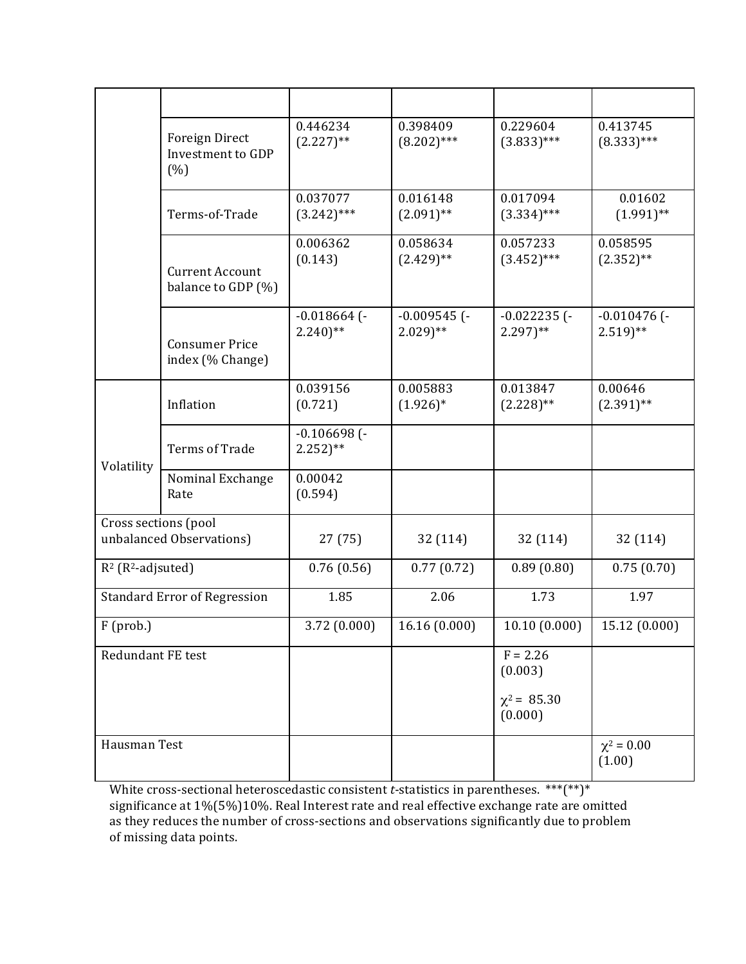|                                  | <b>Foreign Direct</b><br>Investment to GDP<br>(% ) | 0.446234<br>$(2.227)$ **                | 0.398409<br>$(8.202)$ ***               | 0.229604<br>$(3.833)$ ***               | 0.413745<br>$(8.333)$ ***               |
|----------------------------------|----------------------------------------------------|-----------------------------------------|-----------------------------------------|-----------------------------------------|-----------------------------------------|
|                                  | Terms-of-Trade                                     | 0.037077<br>$(3.242)$ ***               | 0.016148<br>$(2.091)$ **                | 0.017094<br>$(3.334)$ ***               | 0.01602<br>$(1.991)$ **                 |
|                                  | <b>Current Account</b><br>balance to GDP (%)       | 0.006362<br>(0.143)                     | 0.058634<br>$(2.429)$ **                | 0.057233<br>$(3.452)$ ***               | 0.058595<br>$(2.352)$ **                |
|                                  | <b>Consumer Price</b><br>index (% Change)          | $-0.018664$ (-<br>$2.240$ <sup>**</sup> | $-0.009545$ (-<br>$2.029$ <sup>**</sup> | $-0.022235$ (-<br>$2.297$ <sup>**</sup> | $-0.010476$ (-<br>$2.519$ <sup>**</sup> |
|                                  | Inflation                                          | 0.039156<br>(0.721)                     | 0.005883<br>$(1.926)^*$                 | 0.013847<br>$(2.228)$ **                | 0.00646<br>$(2.391)$ **                 |
| Volatility                       | <b>Terms of Trade</b>                              | $-0.106698$ (-<br>$2.252$ <sup>**</sup> |                                         |                                         |                                         |
|                                  | Nominal Exchange<br>Rate                           | 0.00042<br>(0.594)                      |                                         |                                         |                                         |
| Cross sections (pool             | unbalanced Observations)                           | 27 (75)                                 | 32 (114)                                | 32 (114)                                | 32 (114)                                |
| $R^2$ (R <sup>2</sup> -adjsuted) |                                                    | 0.76(0.56)                              | 0.77(0.72)                              | 0.89(0.80)                              | 0.75(0.70)                              |
|                                  | <b>Standard Error of Regression</b>                | 1.85                                    | 2.06                                    | 1.73                                    | 1.97                                    |
| F (prob.)                        |                                                    | 3.72 (0.000)                            | 16.16 (0.000)                           | 10.10 (0.000)                           | 15.12 (0.000)                           |
| Redundant FE test                |                                                    |                                         |                                         | $F = 2.26$<br>(0.003)                   |                                         |
|                                  |                                                    |                                         |                                         | $\chi^2$ = 85.30<br>(0.000)             |                                         |
| Hausman Test                     |                                                    |                                         |                                         |                                         | $\chi^2 = 0.00$<br>(1.00)               |

White cross-sectional heteroscedastic consistent *t*-statistics in parentheses.  $***$  $(**)$ \* significance at 1%(5%)10%. Real Interest rate and real effective exchange rate are omitted as they reduces the number of cross-sections and observations significantly due to problem of missing data points.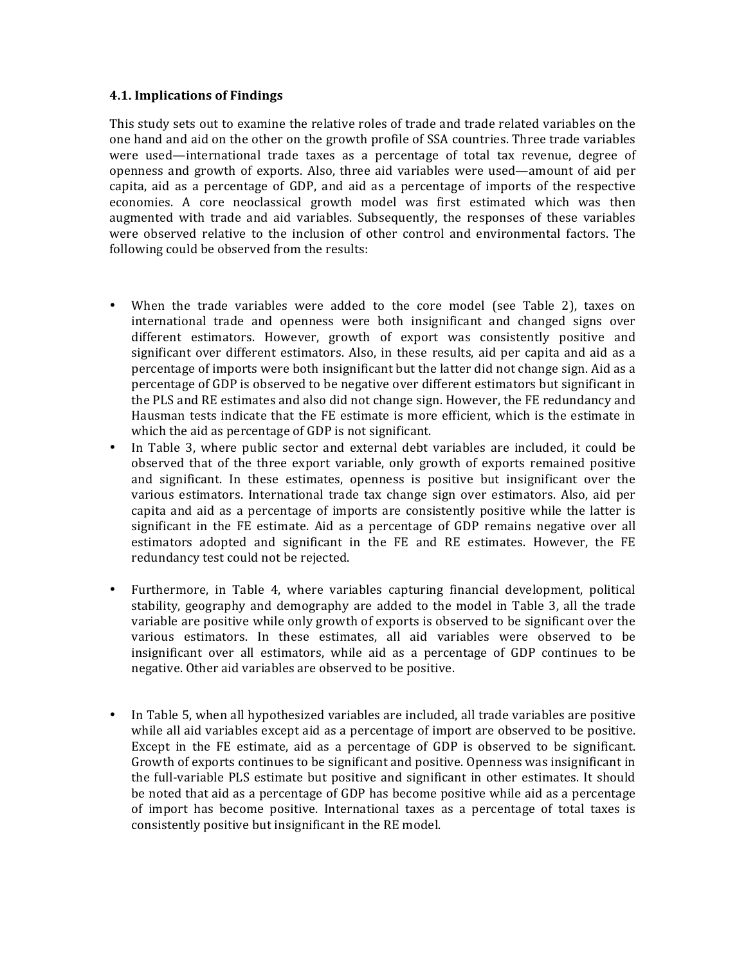## **4.1. Implications of Findings**

This study sets out to examine the relative roles of trade and trade related variables on the one hand and aid on the other on the growth profile of SSA countries. Three trade variables were used—international trade taxes as a percentage of total tax revenue, degree of openness and growth of exports. Also, three aid variables were used—amount of aid per capita, aid as a percentage of GDP, and aid as a percentage of imports of the respective economies. A core neoclassical growth model was first estimated which was then augmented with trade and aid variables. Subsequently, the responses of these variables were observed relative to the inclusion of other control and environmental factors. The following could be observed from the results:

- When the trade variables were added to the core model (see Table 2), taxes on international trade and openness were both insignificant and changed signs over different estimators. However, growth of export was consistently positive and significant over different estimators. Also, in these results, aid per capita and aid as a percentage of imports were both insignificant but the latter did not change sign. Aid as a percentage of GDP is observed to be negative over different estimators but significant in the PLS and RE estimates and also did not change sign. However, the FE redundancy and Hausman tests indicate that the FE estimate is more efficient, which is the estimate in which the aid as percentage of GDP is not significant.
- In Table 3, where public sector and external debt variables are included, it could be observed that of the three export variable, only growth of exports remained positive and significant. In these estimates, openness is positive but insignificant over the various estimators. International trade tax change sign over estimators. Also, aid per capita and aid as a percentage of imports are consistently positive while the latter is significant in the FE estimate. Aid as a percentage of GDP remains negative over all estimators adopted and significant in the FE and RE estimates. However, the FE redundancy test could not be rejected.
- Furthermore, in Table 4, where variables capturing financial development, political stability, geography and demography are added to the model in Table 3, all the trade variable are positive while only growth of exports is observed to be significant over the various estimators. In these estimates, all aid variables were observed to be insignificant over all estimators, while aid as a percentage of GDP continues to be negative. Other aid variables are observed to be positive.
- In Table 5, when all hypothesized variables are included, all trade variables are positive while all aid variables except aid as a percentage of import are observed to be positive. Except in the FE estimate, aid as a percentage of GDP is observed to be significant. Growth of exports continues to be significant and positive. Openness was insignificant in the full-variable PLS estimate but positive and significant in other estimates. It should be noted that aid as a percentage of GDP has become positive while aid as a percentage of import has become positive. International taxes as a percentage of total taxes is consistently positive but insignificant in the RE model.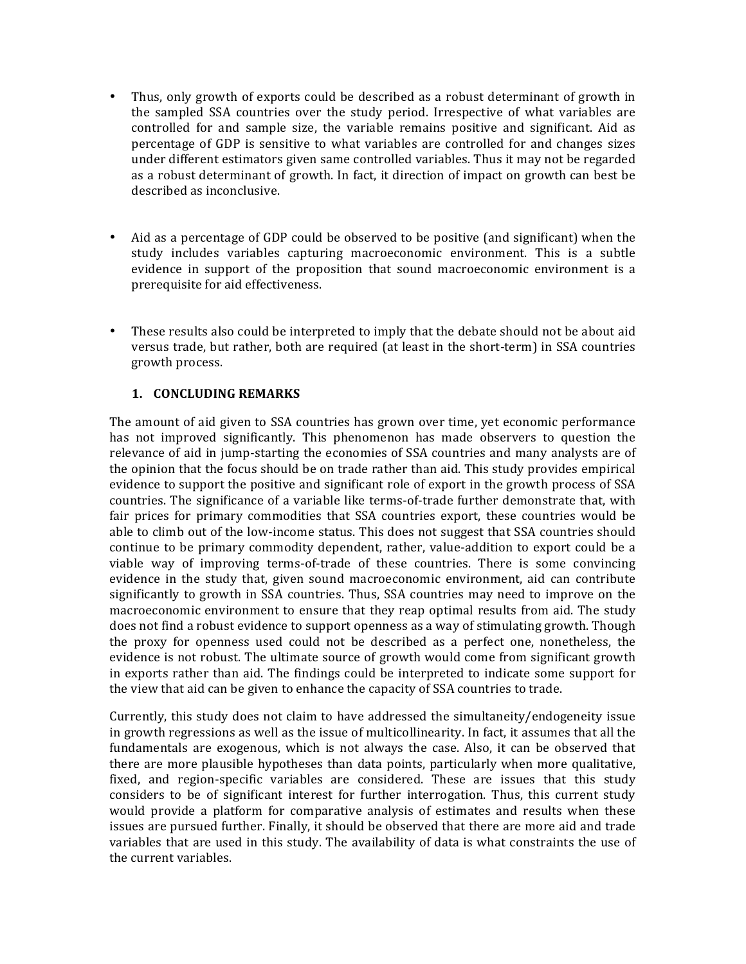- Thus, only growth of exports could be described as a robust determinant of growth in the sampled SSA countries over the study period. Irrespective of what variables are controlled for and sample size, the variable remains positive and significant. Aid as percentage of GDP is sensitive to what variables are controlled for and changes sizes under different estimators given same controlled variables. Thus it may not be regarded as a robust determinant of growth. In fact, it direction of impact on growth can best be described as inconclusive.
- Aid as a percentage of GDP could be observed to be positive (and significant) when the study includes variables capturing macroeconomic environment. This is a subtle evidence in support of the proposition that sound macroeconomic environment is a prerequisite for aid effectiveness.
- These results also could be interpreted to imply that the debate should not be about aid versus trade, but rather, both are required (at least in the short-term) in SSA countries growth process.

# **1. CONCLUDING REMARKS**

The amount of aid given to SSA countries has grown over time, yet economic performance has not improved significantly. This phenomenon has made observers to question the relevance of aid in jump-starting the economies of SSA countries and many analysts are of the opinion that the focus should be on trade rather than aid. This study provides empirical evidence to support the positive and significant role of export in the growth process of SSA countries. The significance of a variable like terms-of-trade further demonstrate that, with fair prices for primary commodities that SSA countries export, these countries would be able to climb out of the low-income status. This does not suggest that SSA countries should continue to be primary commodity dependent, rather, value-addition to export could be a viable way of improving terms-of-trade of these countries. There is some convincing evidence in the study that, given sound macroeconomic environment, aid can contribute significantly to growth in SSA countries. Thus, SSA countries may need to improve on the macroeconomic environment to ensure that they reap optimal results from aid. The study does not find a robust evidence to support openness as a way of stimulating growth. Though the proxy for openness used could not be described as a perfect one, nonetheless, the evidence is not robust. The ultimate source of growth would come from significant growth in exports rather than aid. The findings could be interpreted to indicate some support for the view that aid can be given to enhance the capacity of SSA countries to trade.

Currently, this study does not claim to have addressed the simultaneity/endogeneity issue in growth regressions as well as the issue of multicollinearity. In fact, it assumes that all the fundamentals are exogenous, which is not always the case. Also, it can be observed that there are more plausible hypotheses than data points, particularly when more qualitative, fixed, and region-specific variables are considered. These are issues that this study considers to be of significant interest for further interrogation. Thus, this current study would provide a platform for comparative analysis of estimates and results when these issues are pursued further. Finally, it should be observed that there are more aid and trade variables that are used in this study. The availability of data is what constraints the use of the current variables.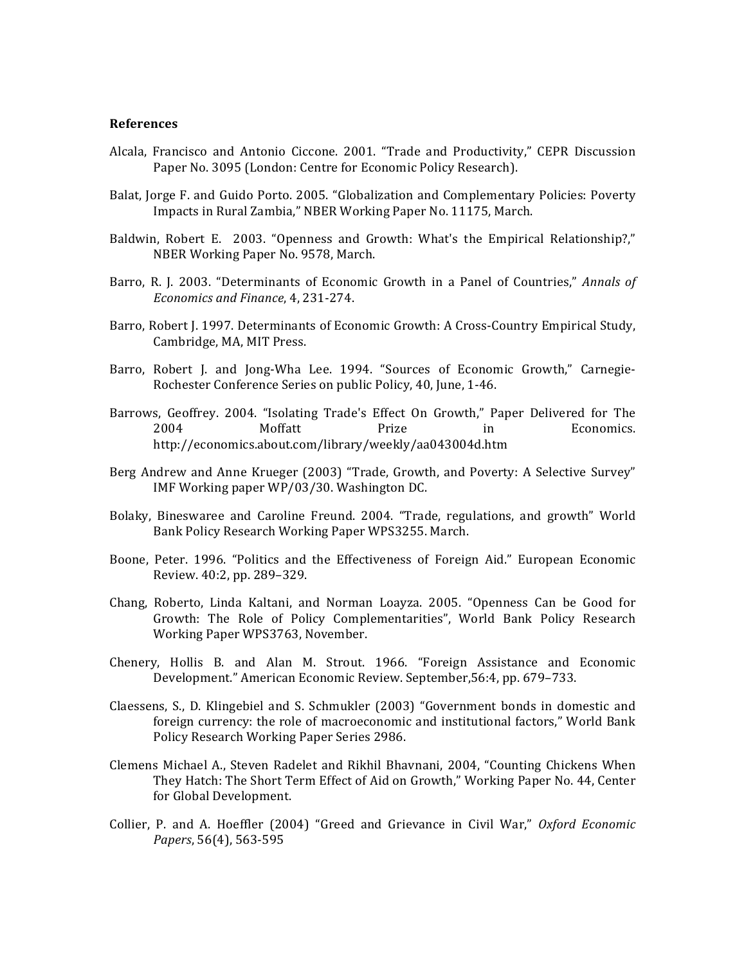#### **References**

- Alcala, Francisco and Antonio Ciccone. 2001. "Trade and Productivity," CEPR Discussion Paper No. 3095 (London: Centre for Economic Policy Research).
- Balat, Jorge F. and Guido Porto. 2005. "Globalization and Complementary Policies: Poverty Impacts in Rural Zambia," NBER Working Paper No. 11175, March.
- Baldwin, Robert E. 2003. "Openness and Growth: What's the Empirical Relationship?," NBER Working Paper No. 9578, March.
- Barro, R. J. 2003. "Determinants of Economic Growth in a Panel of Countries," *Annals of Economics and Finance*, 4, 231-274.
- Barro, Robert J. 1997. Determinants of Economic Growth: A Cross-Country Empirical Study, Cambridge, MA, MIT Press.
- Barro, Robert J. and Jong-Wha Lee. 1994. "Sources of Economic Growth," Carnegie-Rochester Conference Series on public Policy, 40, June, 1-46.
- Barrows, Geoffrey. 2004. "Isolating Trade's Effect On Growth," Paper Delivered for The 2004 Moffatt Prize in Economics. http://economics.about.com/library/weekly/aa043004d.htm
- Berg Andrew and Anne Krueger (2003) "Trade, Growth, and Poverty: A Selective Survey" IMF Working paper WP/03/30. Washington DC.
- Bolaky, Bineswaree and Caroline Freund. 2004. "Trade, regulations, and growth" World Bank Policy Research Working Paper WPS3255. March.
- Boone, Peter. 1996. "Politics and the Effectiveness of Foreign Aid." European Economic Review. 40:2, pp. 289-329.
- Chang, Roberto, Linda Kaltani, and Norman Loayza. 2005. "Openness Can be Good for Growth: The Role of Policy Complementarities", World Bank Policy Research Working Paper WPS3763, November.
- Chenery, Hollis B. and Alan M. Strout. 1966. "Foreign Assistance and Economic Development." American Economic Review. September, 56:4, pp. 679-733.
- Claessens, S., D. Klingebiel and S. Schmukler (2003) "Government bonds in domestic and foreign currency: the role of macroeconomic and institutional factors," World Bank Policy Research Working Paper Series 2986.
- Clemens Michael A., Steven Radelet and Rikhil Bhavnani, 2004, "Counting Chickens When They Hatch: The Short Term Effect of Aid on Growth," Working Paper No. 44, Center for Global Development.
- Collier, P. and A. Hoeffler (2004) "Greed and Grievance in Civil War," Oxford Economic *Papers*, 56(4), 563-595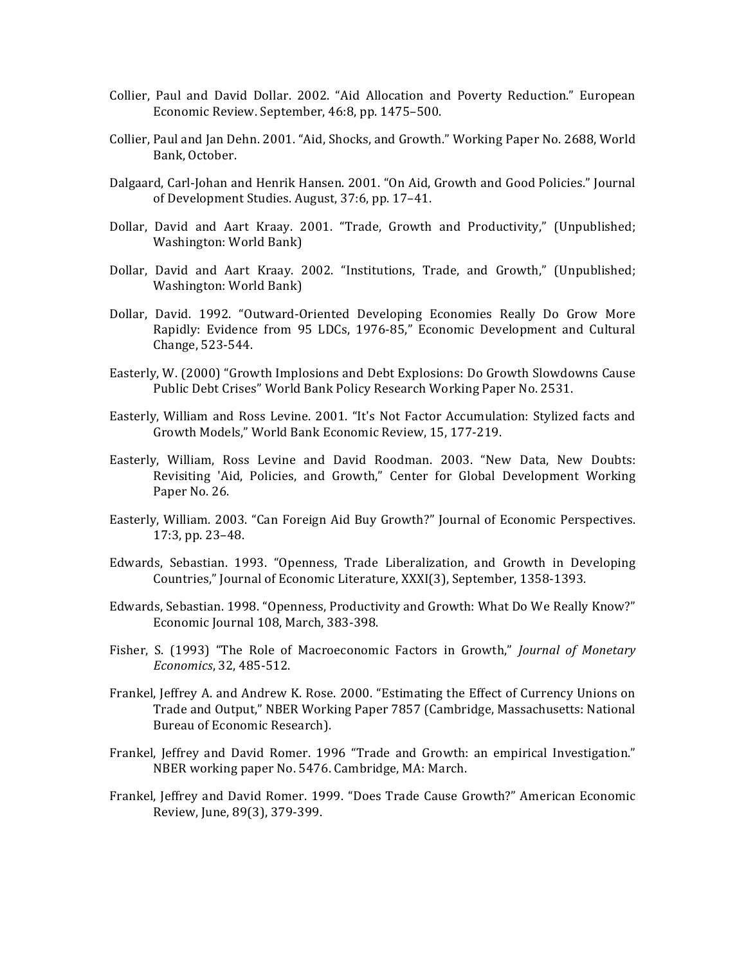- Collier, Paul and David Dollar. 2002. "Aid Allocation and Poverty Reduction." European Economic Review. September, 46:8, pp. 1475–500.
- Collier, Paul and Jan Dehn. 2001. "Aid, Shocks, and Growth." Working Paper No. 2688, World Bank, October.
- Dalgaard, Carl-Johan and Henrik Hansen. 2001. "On Aid, Growth and Good Policies." Journal of Development Studies. August, 37:6, pp. 17-41.
- Dollar, David and Aart Kraay. 2001. "Trade, Growth and Productivity," (Unpublished; Washington: World Bank)
- Dollar, David and Aart Kraay. 2002. "Institutions, Trade, and Growth," (Unpublished; Washington: World Bank)
- Dollar, David. 1992. "Outward-Oriented Developing Economies Really Do Grow More Rapidly: Evidence from 95 LDCs, 1976-85," Economic Development and Cultural Change, 523-544.
- Easterly, W. (2000) "Growth Implosions and Debt Explosions: Do Growth Slowdowns Cause Public Debt Crises" World Bank Policy Research Working Paper No. 2531.
- Easterly, William and Ross Levine. 2001. "It's Not Factor Accumulation: Stylized facts and Growth Models," World Bank Economic Review, 15, 177-219.
- Easterly, William, Ross Levine and David Roodman. 2003. "New Data, New Doubts: Revisiting 'Aid, Policies, and Growth," Center for Global Development Working Paper No. 26.
- Easterly, William. 2003. "Can Foreign Aid Buy Growth?" Journal of Economic Perspectives. 17:3, pp. 23-48.
- Edwards, Sebastian. 1993. "Openness, Trade Liberalization, and Growth in Developing Countries," Journal of Economic Literature, XXXI(3), September, 1358-1393.
- Edwards, Sebastian. 1998. "Openness, Productivity and Growth: What Do We Really Know?" Economic Journal 108, March, 383-398.
- Fisher, S. (1993) "The Role of Macroeconomic Factors in Growth," *Journal of Monetary Economics*, 32, 485-512.
- Frankel, Jeffrey A. and Andrew K. Rose. 2000. "Estimating the Effect of Currency Unions on Trade and Output," NBER Working Paper 7857 (Cambridge, Massachusetts: National Bureau of Economic Research).
- Frankel, Jeffrey and David Romer. 1996 "Trade and Growth: an empirical Investigation." NBER working paper No. 5476. Cambridge, MA: March.
- Frankel, Jeffrey and David Romer. 1999. "Does Trade Cause Growth?" American Economic Review, June, 89(3), 379-399.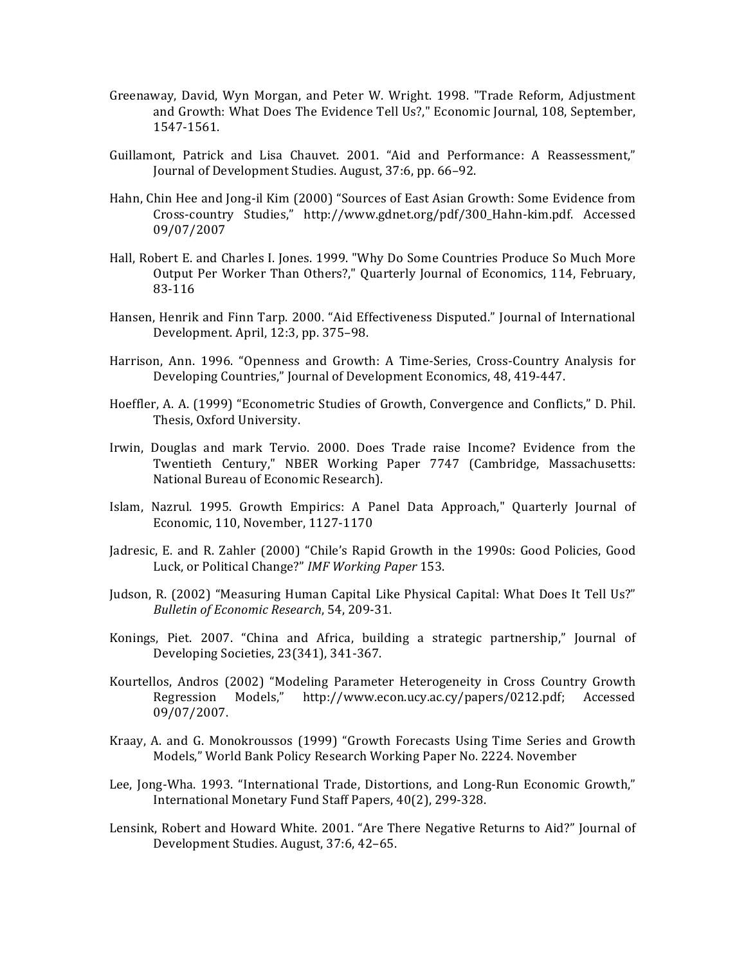- Greenaway, David, Wyn Morgan, and Peter W. Wright. 1998. "Trade Reform, Adjustment and Growth: What Does The Evidence Tell Us?," Economic Journal, 108, September, 1547-1561.
- Guillamont, Patrick and Lisa Chauvet. 2001. "Aid and Performance: A Reassessment," Journal of Development Studies. August, 37:6, pp. 66-92.
- Hahn, Chin Hee and Jong-il Kim (2000) "Sources of East Asian Growth: Some Evidence from Cross-country Studies," http://www.gdnet.org/pdf/300\_Hahn-kim.pdf. Accessed 09/07/2007
- Hall, Robert E. and Charles I. Jones. 1999. "Why Do Some Countries Produce So Much More Output Per Worker Than Others?," Quarterly Journal of Economics, 114, February, 83-116
- Hansen, Henrik and Finn Tarp. 2000. "Aid Effectiveness Disputed." Journal of International Development. April, 12:3, pp. 375-98.
- Harrison, Ann. 1996. "Openness and Growth: A Time-Series, Cross-Country Analysis for Developing Countries," Journal of Development Economics, 48, 419-447.
- Hoeffler, A. A. (1999) "Econometric Studies of Growth, Convergence and Conflicts," D. Phil. Thesis, Oxford University.
- Irwin, Douglas and mark Tervio. 2000. Does Trade raise Income? Evidence from the Twentieth Century," NBER Working Paper 7747 (Cambridge, Massachusetts: National Bureau of Economic Research).
- Islam, Nazrul. 1995. Growth Empirics: A Panel Data Approach," Quarterly Journal of Economic, 110, November, 1127-1170
- Jadresic, E. and R. Zahler (2000) "Chile's Rapid Growth in the 1990s: Good Policies, Good Luck, or Political Change?" *IMF Working Paper* 153.
- Judson, R. (2002) "Measuring Human Capital Like Physical Capital: What Does It Tell Us?" *Bulletin of Economic Research*, 54, 209-31.
- Konings, Piet. 2007. "China and Africa, building a strategic partnership," Journal of Developing Societies, 23(341), 341-367.
- Kourtellos, Andros (2002) "Modeling Parameter Heterogeneity in Cross Country Growth Regression Models," http://www.econ.ucy.ac.cy/papers/0212.pdf; Accessed 09/07/2007.
- Kraay, A. and G. Monokroussos (1999) "Growth Forecasts Using Time Series and Growth Models," World Bank Policy Research Working Paper No. 2224. November
- Lee, Jong-Wha. 1993. "International Trade, Distortions, and Long-Run Economic Growth," International Monetary Fund Staff Papers, 40(2), 299-328.
- Lensink, Robert and Howard White. 2001. "Are There Negative Returns to Aid?" Journal of Development Studies. August, 37:6, 42-65.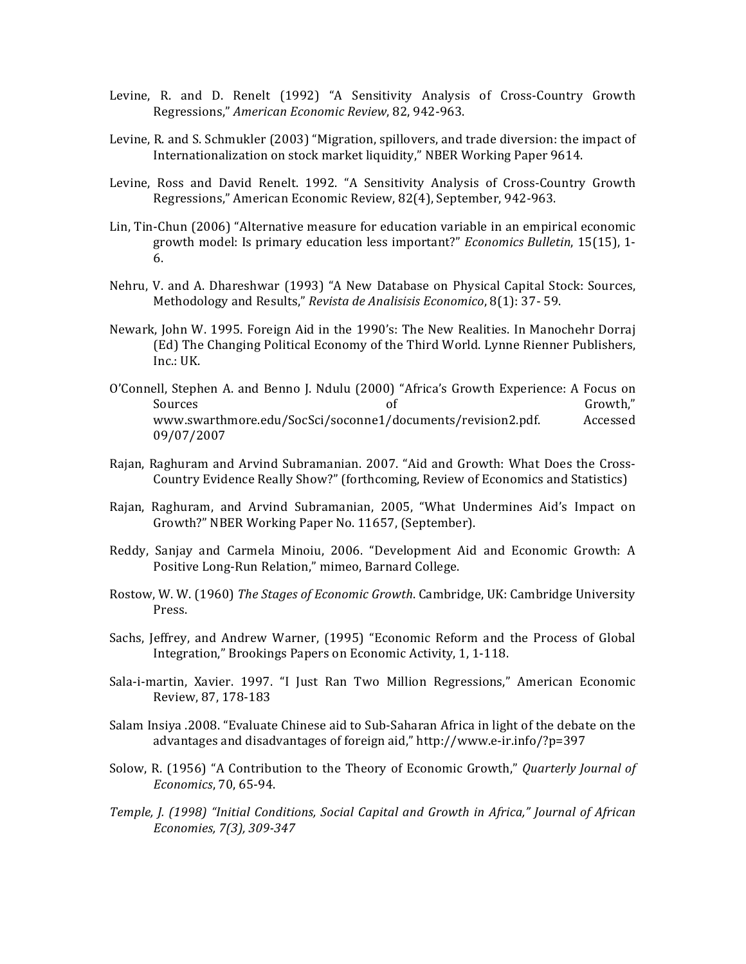- Levine, R. and D. Renelt (1992) "A Sensitivity Analysis of Cross-Country Growth Regressions," *American Economic Review*, 82, 942-963.
- Levine, R. and S. Schmukler (2003) "Migration, spillovers, and trade diversion: the impact of Internationalization on stock market liquidity," NBER Working Paper 9614.
- Levine, Ross and David Renelt. 1992. "A Sensitivity Analysis of Cross-Country Growth Regressions," American Economic Review, 82(4), September, 942-963.
- Lin, Tin-Chun (2006) "Alternative measure for education variable in an empirical economic growth model: Is primary education less important?" *Economics Bulletin*, 15(15), 1-6.
- Nehru, V. and A. Dhareshwar (1993) "A New Database on Physical Capital Stock: Sources, Methodology and Results," Revista de Analisisis Economico, 8(1): 37- 59.
- Newark, John W. 1995. Foreign Aid in the 1990's: The New Realities. In Manochehr Dorraj (Ed) The Changing Political Economy of the Third World. Lynne Rienner Publishers, Inc.: UK.
- O'Connell, Stephen A. and Benno J. Ndulu (2000) "Africa's Growth Experience: A Focus on Sources of Growth," www.swarthmore.edu/SocSci/soconne1/documents/revision2.pdf. Accessed 09/07/2007
- Rajan, Raghuram and Arvind Subramanian. 2007. "Aid and Growth: What Does the Cross-Country Evidence Really Show?" (forthcoming, Review of Economics and Statistics)
- Rajan, Raghuram, and Arvind Subramanian, 2005, "What Undermines Aid's Impact on Growth?" NBER Working Paper No. 11657, (September).
- Reddy, Sanjay and Carmela Minoiu, 2006. "Development Aid and Economic Growth: A Positive Long-Run Relation," mimeo, Barnard College.
- Rostow, W. W. (1960) *The Stages of Economic Growth*. Cambridge, UK: Cambridge University Press.
- Sachs, Jeffrey, and Andrew Warner, (1995) "Economic Reform and the Process of Global Integration," Brookings Papers on Economic Activity, 1, 1-118.
- Sala-i-martin, Xavier. 1997. "I Just Ran Two Million Regressions," American Economic Review, 87, 178-183
- Salam Insiya .2008. "Evaluate Chinese aid to Sub-Saharan Africa in light of the debate on the advantages and disadvantages of foreign aid," http://www.e-ir.info/?p=397
- Solow, R. (1956) "A Contribution to the Theory of Economic Growth," *Quarterly Journal of Economics*, 70, 65-94.
- Temple, J. (1998) "Initial Conditions, Social Capital and Growth in Africa," Journal of African *Economies, 7(3), 309-347*